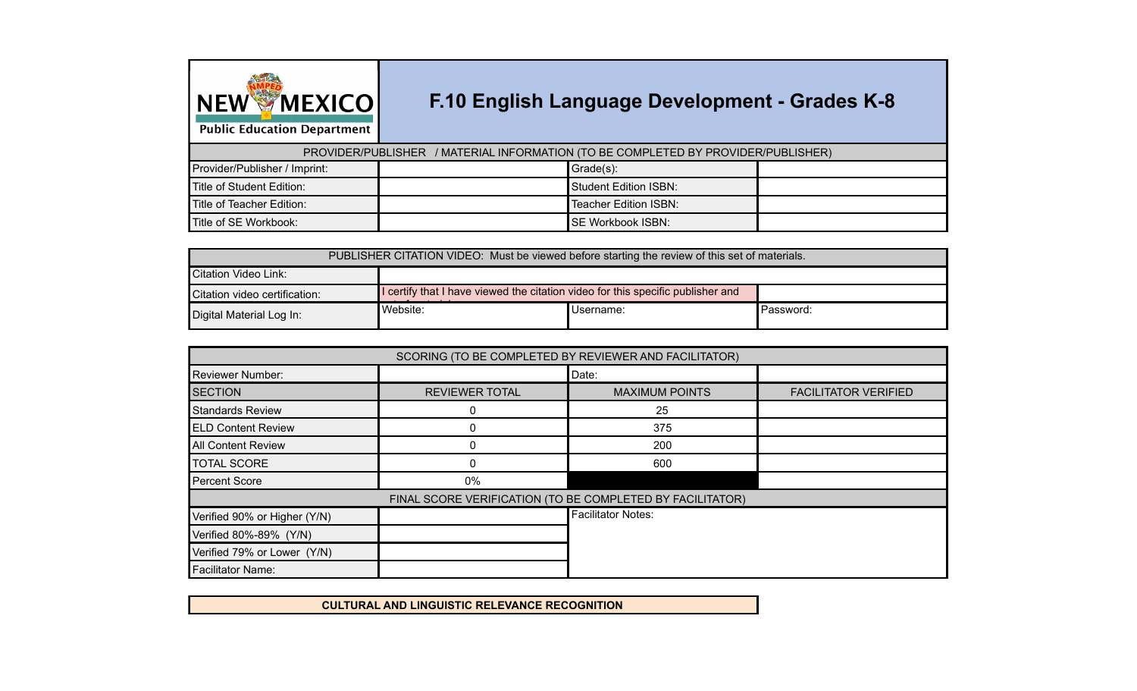

## **F.10 English Language Development - Grades K-8**

**Public Education Department** 

PROVIDER/PUBLISHER / MATERIAL INFORMATION (TO BE COMPLETED BY PROVIDER/PUBLISHER)

| Provider/Publisher / Imprint:    | Grade(s):                 |  |
|----------------------------------|---------------------------|--|
| Title of Student Edition:        | Student Edition ISBN:     |  |
| <b>Title of Teacher Edition:</b> | Teacher Edition ISBN:     |  |
| Title of SE Workbook:            | <b>ISE Workbook ISBN:</b> |  |

| PUBLISHER CITATION VIDEO: Must be viewed before starting the review of this set of materials. |                                                                                 |           |           |  |  |  |
|-----------------------------------------------------------------------------------------------|---------------------------------------------------------------------------------|-----------|-----------|--|--|--|
| Citation Video Link:                                                                          |                                                                                 |           |           |  |  |  |
| Citation video certification:                                                                 | I certify that I have viewed the citation video for this specific publisher and |           |           |  |  |  |
| Website:<br>Digital Material Log In:                                                          |                                                                                 | Username: | Password: |  |  |  |

| SCORING (TO BE COMPLETED BY REVIEWER AND FACILITATOR) |                       |                                                           |                             |  |  |  |  |  |  |
|-------------------------------------------------------|-----------------------|-----------------------------------------------------------|-----------------------------|--|--|--|--|--|--|
| <b>Reviewer Number:</b>                               |                       | Date:                                                     |                             |  |  |  |  |  |  |
| <b>SECTION</b>                                        | <b>REVIEWER TOTAL</b> | <b>MAXIMUM POINTS</b>                                     | <b>FACILITATOR VERIFIED</b> |  |  |  |  |  |  |
| <b>Standards Review</b>                               | 0                     | 25                                                        |                             |  |  |  |  |  |  |
| <b>ELD Content Review</b>                             |                       | 375                                                       |                             |  |  |  |  |  |  |
| <b>All Content Review</b>                             | 0                     | 200                                                       |                             |  |  |  |  |  |  |
| <b>TOTAL SCORE</b>                                    | 0                     | 600                                                       |                             |  |  |  |  |  |  |
| <b>Percent Score</b>                                  | 0%                    |                                                           |                             |  |  |  |  |  |  |
|                                                       |                       | FINAL SCORE VERIFICATION (TO BE COMPLETED BY FACILITATOR) |                             |  |  |  |  |  |  |
| Verified 90% or Higher (Y/N)                          |                       | <b>Facilitator Notes:</b>                                 |                             |  |  |  |  |  |  |
| Verified 80%-89% (Y/N)                                |                       |                                                           |                             |  |  |  |  |  |  |
| Verified 79% or Lower (Y/N)                           |                       |                                                           |                             |  |  |  |  |  |  |
| <b>Facilitator Name:</b>                              |                       |                                                           |                             |  |  |  |  |  |  |

**CULTURAL AND LINGUISTIC RELEVANCE RECOGNITION**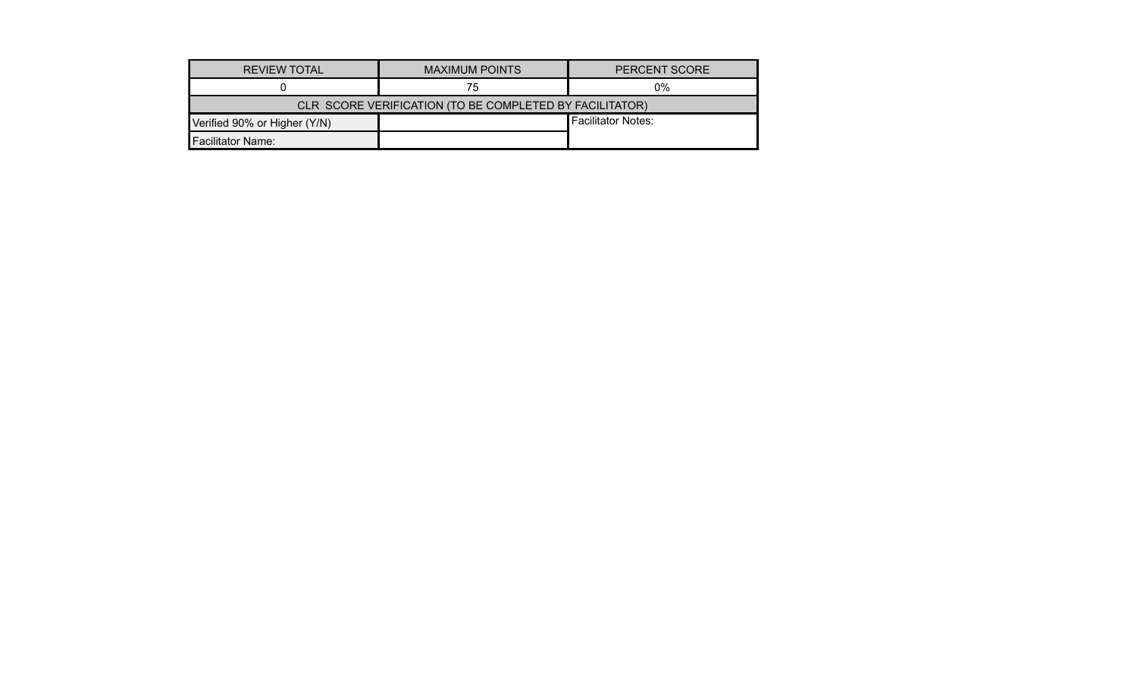| <b>REVIEW TOTAL</b>          | <b>MAXIMUM POINTS</b>                                   | <b>PERCENT SCORE</b>      |  |  |  |  |  |  |  |
|------------------------------|---------------------------------------------------------|---------------------------|--|--|--|--|--|--|--|
|                              | 75                                                      | 0%                        |  |  |  |  |  |  |  |
|                              | CLR SCORE VERIFICATION (TO BE COMPLETED BY FACILITATOR) |                           |  |  |  |  |  |  |  |
| Verified 90% or Higher (Y/N) |                                                         | <b>Facilitator Notes:</b> |  |  |  |  |  |  |  |
| <b>Facilitator Name:</b>     |                                                         |                           |  |  |  |  |  |  |  |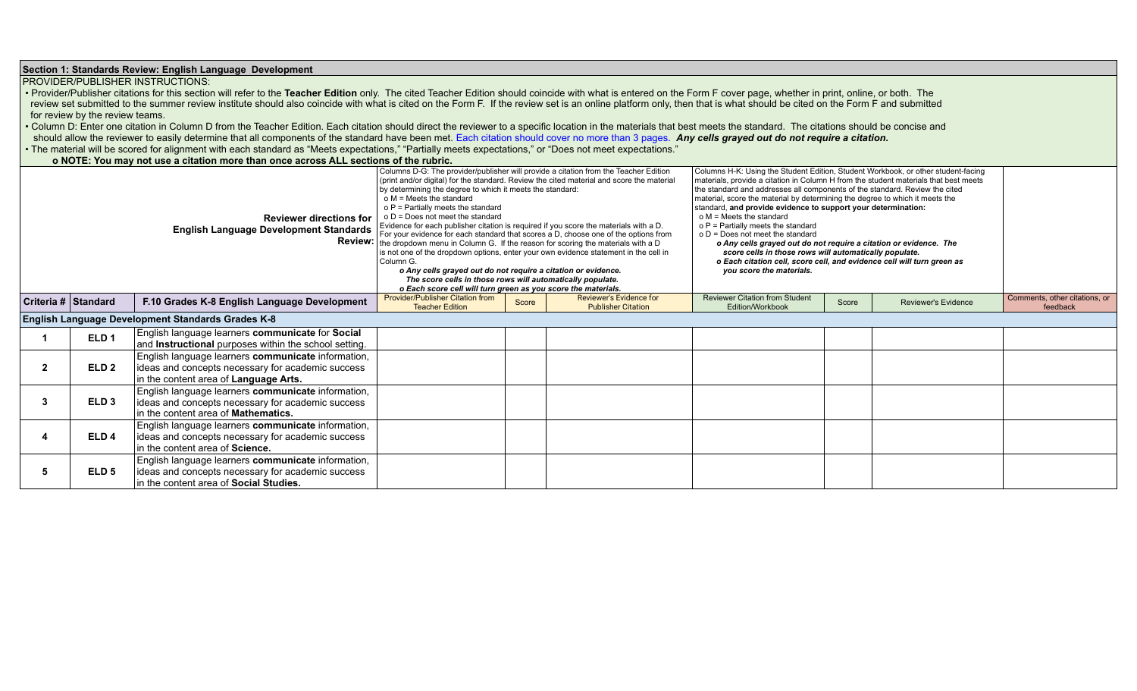| Section 1: Standards Review: English Language Development<br><b>PROVIDER/PUBLISHER INSTRUCTIONS:</b><br>• Provider/Publisher citations for this section will refer to the Teacher Edition only. The cited Teacher Edition should coincide with what is entered on the Form F cover page, whether in print, online, or both. The<br>review set submitted to the summer review institute should also coincide with what is cited on the Form F. If the review set is an online platform only, then that is what should be cited on the Form F and submitted<br>for review by the review teams.<br>Column D: Enter one citation in Column D from the Teacher Edition. Each citation should direct the reviewer to a specific location in the materials that best meets the standard. The citations should be concise and<br>should allow the reviewer to easily determine that all components of the standard have been met. Each citation should cover no more than 3 pages. Any cells grayed out do not require a citation.<br>• The material will be scored for alignment with each standard as "Meets expectations," "Partially meets expectations," or "Does not meet expectations."<br>o NOTE: You may not use a citation more than once across ALL sections of the rubric.<br>Columns D-G: The provider/publisher will provide a citation from the Teacher Edition<br>Columns H-K: Using the Student Edition, Student Workbook, or other student-facing<br>(print and/or digital) for the standard. Review the cited material and score the material<br>materials, provide a citation in Column H from the student materials that best meets<br>by determining the degree to which it meets the standard:<br>the standard and addresses all components of the standard. Review the cited<br>$o$ M = Meets the standard<br>material, score the material by determining the degree to which it meets the<br>o P = Partially meets the standard<br>standard, and provide evidence to support your determination:<br>$o$ M = Meets the standard<br>$o D = Does not meet the standard$<br><b>Reviewer directions for</b><br>Evidence for each publisher citation is required if you score the materials with a D.<br>$o P$ = Partially meets the standard<br><b>English Language Development Standards</b><br>For your evidence for each standard that scores a D, choose one of the options from<br>$o D = Does not meet the standard$<br><b>Review:</b><br>the dropdown menu in Column G. If the reason for scoring the materials with a D<br>o Any cells grayed out do not require a citation or evidence. The<br>score cells in those rows will automatically populate.<br>is not one of the dropdown options, enter your own evidence statement in the cell in<br>Column G.<br>o Each citation cell, score cell, and evidence cell will turn green as<br>o Any cells grayed out do not require a citation or evidence.<br>you score the materials.<br>The score cells in those rows will automatically populate.<br>o Each score cell will turn green as you score the materials.<br><b>Provider/Publisher Citation from</b><br>Reviewer's Evidence for<br><b>Reviewer Citation from Student</b><br>Comments, other citations, or<br>Criteria # Standard<br>F.10 Grades K-8 English Language Development<br>Score<br><b>Reviewer's Evidence</b><br>Score<br><b>Teacher Edition</b><br><b>Publisher Citation</b><br>Edition/Workbook<br>feedback<br>English Language Development Standards Grades K-8<br>English language learners communicate for Social<br>ELD <sub>1</sub><br>and <b>Instructional</b> purposes within the school setting.<br>English language learners communicate information,<br>ELD <sub>2</sub><br>$\overline{2}$<br>ideas and concepts necessary for academic success<br>in the content area of Language Arts.<br>English language learners communicate information,<br>ELD <sub>3</sub><br>ideas and concepts necessary for academic success<br>-3<br>In the content area of <b>Mathematics</b> .<br>English language learners communicate information,<br>ELD <sub>4</sub><br>ideas and concepts necessary for academic success<br>In the content area of Science.<br>English language learners communicate information,<br>ideas and concepts necessary for academic success<br>ELD <sub>5</sub><br>-5<br>in the content area of Social Studies. |  |  |  |  |  |  |  |  |  |  |
|---------------------------------------------------------------------------------------------------------------------------------------------------------------------------------------------------------------------------------------------------------------------------------------------------------------------------------------------------------------------------------------------------------------------------------------------------------------------------------------------------------------------------------------------------------------------------------------------------------------------------------------------------------------------------------------------------------------------------------------------------------------------------------------------------------------------------------------------------------------------------------------------------------------------------------------------------------------------------------------------------------------------------------------------------------------------------------------------------------------------------------------------------------------------------------------------------------------------------------------------------------------------------------------------------------------------------------------------------------------------------------------------------------------------------------------------------------------------------------------------------------------------------------------------------------------------------------------------------------------------------------------------------------------------------------------------------------------------------------------------------------------------------------------------------------------------------------------------------------------------------------------------------------------------------------------------------------------------------------------------------------------------------------------------------------------------------------------------------------------------------------------------------------------------------------------------------------------------------------------------------------------------------------------------------------------------------------------------------------------------------------------------------------------------------------------------------------------------------------------------------------------------------------------------------------------------------------------------------------------------------------------------------------------------------------------------------------------------------------------------------------------------------------------------------------------------------------------------------------------------------------------------------------------------------------------------------------------------------------------------------------------------------------------------------------------------------------------------------------------------------------------------------------------------------------------------------------------------------------------------------------------------------------------------------------------------------------------------------------------------------------------------------------------------------------------------------------------------------------------------------------------------------------------------------------------------------------------------------------------------------------------------------------------------------------------------------------------------------------------------------------------------------------------------------------------------------------------------------------------------------------------------------------------------------------------------------------------------------------------------------------------------------------------------------------------------------------------------------------------------------------------------------------------------------------------------------------------------------------------------------------------------------------------------------------------------------------------------------------------------------------|--|--|--|--|--|--|--|--|--|--|
|                                                                                                                                                                                                                                                                                                                                                                                                                                                                                                                                                                                                                                                                                                                                                                                                                                                                                                                                                                                                                                                                                                                                                                                                                                                                                                                                                                                                                                                                                                                                                                                                                                                                                                                                                                                                                                                                                                                                                                                                                                                                                                                                                                                                                                                                                                                                                                                                                                                                                                                                                                                                                                                                                                                                                                                                                                                                                                                                                                                                                                                                                                                                                                                                                                                                                                                                                                                                                                                                                                                                                                                                                                                                                                                                                                                                                                                                                                                                                                                                                                                                                                                                                                                                                                                                                                                                                                                 |  |  |  |  |  |  |  |  |  |  |
|                                                                                                                                                                                                                                                                                                                                                                                                                                                                                                                                                                                                                                                                                                                                                                                                                                                                                                                                                                                                                                                                                                                                                                                                                                                                                                                                                                                                                                                                                                                                                                                                                                                                                                                                                                                                                                                                                                                                                                                                                                                                                                                                                                                                                                                                                                                                                                                                                                                                                                                                                                                                                                                                                                                                                                                                                                                                                                                                                                                                                                                                                                                                                                                                                                                                                                                                                                                                                                                                                                                                                                                                                                                                                                                                                                                                                                                                                                                                                                                                                                                                                                                                                                                                                                                                                                                                                                                 |  |  |  |  |  |  |  |  |  |  |
|                                                                                                                                                                                                                                                                                                                                                                                                                                                                                                                                                                                                                                                                                                                                                                                                                                                                                                                                                                                                                                                                                                                                                                                                                                                                                                                                                                                                                                                                                                                                                                                                                                                                                                                                                                                                                                                                                                                                                                                                                                                                                                                                                                                                                                                                                                                                                                                                                                                                                                                                                                                                                                                                                                                                                                                                                                                                                                                                                                                                                                                                                                                                                                                                                                                                                                                                                                                                                                                                                                                                                                                                                                                                                                                                                                                                                                                                                                                                                                                                                                                                                                                                                                                                                                                                                                                                                                                 |  |  |  |  |  |  |  |  |  |  |
|                                                                                                                                                                                                                                                                                                                                                                                                                                                                                                                                                                                                                                                                                                                                                                                                                                                                                                                                                                                                                                                                                                                                                                                                                                                                                                                                                                                                                                                                                                                                                                                                                                                                                                                                                                                                                                                                                                                                                                                                                                                                                                                                                                                                                                                                                                                                                                                                                                                                                                                                                                                                                                                                                                                                                                                                                                                                                                                                                                                                                                                                                                                                                                                                                                                                                                                                                                                                                                                                                                                                                                                                                                                                                                                                                                                                                                                                                                                                                                                                                                                                                                                                                                                                                                                                                                                                                                                 |  |  |  |  |  |  |  |  |  |  |
|                                                                                                                                                                                                                                                                                                                                                                                                                                                                                                                                                                                                                                                                                                                                                                                                                                                                                                                                                                                                                                                                                                                                                                                                                                                                                                                                                                                                                                                                                                                                                                                                                                                                                                                                                                                                                                                                                                                                                                                                                                                                                                                                                                                                                                                                                                                                                                                                                                                                                                                                                                                                                                                                                                                                                                                                                                                                                                                                                                                                                                                                                                                                                                                                                                                                                                                                                                                                                                                                                                                                                                                                                                                                                                                                                                                                                                                                                                                                                                                                                                                                                                                                                                                                                                                                                                                                                                                 |  |  |  |  |  |  |  |  |  |  |
|                                                                                                                                                                                                                                                                                                                                                                                                                                                                                                                                                                                                                                                                                                                                                                                                                                                                                                                                                                                                                                                                                                                                                                                                                                                                                                                                                                                                                                                                                                                                                                                                                                                                                                                                                                                                                                                                                                                                                                                                                                                                                                                                                                                                                                                                                                                                                                                                                                                                                                                                                                                                                                                                                                                                                                                                                                                                                                                                                                                                                                                                                                                                                                                                                                                                                                                                                                                                                                                                                                                                                                                                                                                                                                                                                                                                                                                                                                                                                                                                                                                                                                                                                                                                                                                                                                                                                                                 |  |  |  |  |  |  |  |  |  |  |
|                                                                                                                                                                                                                                                                                                                                                                                                                                                                                                                                                                                                                                                                                                                                                                                                                                                                                                                                                                                                                                                                                                                                                                                                                                                                                                                                                                                                                                                                                                                                                                                                                                                                                                                                                                                                                                                                                                                                                                                                                                                                                                                                                                                                                                                                                                                                                                                                                                                                                                                                                                                                                                                                                                                                                                                                                                                                                                                                                                                                                                                                                                                                                                                                                                                                                                                                                                                                                                                                                                                                                                                                                                                                                                                                                                                                                                                                                                                                                                                                                                                                                                                                                                                                                                                                                                                                                                                 |  |  |  |  |  |  |  |  |  |  |
|                                                                                                                                                                                                                                                                                                                                                                                                                                                                                                                                                                                                                                                                                                                                                                                                                                                                                                                                                                                                                                                                                                                                                                                                                                                                                                                                                                                                                                                                                                                                                                                                                                                                                                                                                                                                                                                                                                                                                                                                                                                                                                                                                                                                                                                                                                                                                                                                                                                                                                                                                                                                                                                                                                                                                                                                                                                                                                                                                                                                                                                                                                                                                                                                                                                                                                                                                                                                                                                                                                                                                                                                                                                                                                                                                                                                                                                                                                                                                                                                                                                                                                                                                                                                                                                                                                                                                                                 |  |  |  |  |  |  |  |  |  |  |
|                                                                                                                                                                                                                                                                                                                                                                                                                                                                                                                                                                                                                                                                                                                                                                                                                                                                                                                                                                                                                                                                                                                                                                                                                                                                                                                                                                                                                                                                                                                                                                                                                                                                                                                                                                                                                                                                                                                                                                                                                                                                                                                                                                                                                                                                                                                                                                                                                                                                                                                                                                                                                                                                                                                                                                                                                                                                                                                                                                                                                                                                                                                                                                                                                                                                                                                                                                                                                                                                                                                                                                                                                                                                                                                                                                                                                                                                                                                                                                                                                                                                                                                                                                                                                                                                                                                                                                                 |  |  |  |  |  |  |  |  |  |  |
|                                                                                                                                                                                                                                                                                                                                                                                                                                                                                                                                                                                                                                                                                                                                                                                                                                                                                                                                                                                                                                                                                                                                                                                                                                                                                                                                                                                                                                                                                                                                                                                                                                                                                                                                                                                                                                                                                                                                                                                                                                                                                                                                                                                                                                                                                                                                                                                                                                                                                                                                                                                                                                                                                                                                                                                                                                                                                                                                                                                                                                                                                                                                                                                                                                                                                                                                                                                                                                                                                                                                                                                                                                                                                                                                                                                                                                                                                                                                                                                                                                                                                                                                                                                                                                                                                                                                                                                 |  |  |  |  |  |  |  |  |  |  |
|                                                                                                                                                                                                                                                                                                                                                                                                                                                                                                                                                                                                                                                                                                                                                                                                                                                                                                                                                                                                                                                                                                                                                                                                                                                                                                                                                                                                                                                                                                                                                                                                                                                                                                                                                                                                                                                                                                                                                                                                                                                                                                                                                                                                                                                                                                                                                                                                                                                                                                                                                                                                                                                                                                                                                                                                                                                                                                                                                                                                                                                                                                                                                                                                                                                                                                                                                                                                                                                                                                                                                                                                                                                                                                                                                                                                                                                                                                                                                                                                                                                                                                                                                                                                                                                                                                                                                                                 |  |  |  |  |  |  |  |  |  |  |
|                                                                                                                                                                                                                                                                                                                                                                                                                                                                                                                                                                                                                                                                                                                                                                                                                                                                                                                                                                                                                                                                                                                                                                                                                                                                                                                                                                                                                                                                                                                                                                                                                                                                                                                                                                                                                                                                                                                                                                                                                                                                                                                                                                                                                                                                                                                                                                                                                                                                                                                                                                                                                                                                                                                                                                                                                                                                                                                                                                                                                                                                                                                                                                                                                                                                                                                                                                                                                                                                                                                                                                                                                                                                                                                                                                                                                                                                                                                                                                                                                                                                                                                                                                                                                                                                                                                                                                                 |  |  |  |  |  |  |  |  |  |  |
|                                                                                                                                                                                                                                                                                                                                                                                                                                                                                                                                                                                                                                                                                                                                                                                                                                                                                                                                                                                                                                                                                                                                                                                                                                                                                                                                                                                                                                                                                                                                                                                                                                                                                                                                                                                                                                                                                                                                                                                                                                                                                                                                                                                                                                                                                                                                                                                                                                                                                                                                                                                                                                                                                                                                                                                                                                                                                                                                                                                                                                                                                                                                                                                                                                                                                                                                                                                                                                                                                                                                                                                                                                                                                                                                                                                                                                                                                                                                                                                                                                                                                                                                                                                                                                                                                                                                                                                 |  |  |  |  |  |  |  |  |  |  |
|                                                                                                                                                                                                                                                                                                                                                                                                                                                                                                                                                                                                                                                                                                                                                                                                                                                                                                                                                                                                                                                                                                                                                                                                                                                                                                                                                                                                                                                                                                                                                                                                                                                                                                                                                                                                                                                                                                                                                                                                                                                                                                                                                                                                                                                                                                                                                                                                                                                                                                                                                                                                                                                                                                                                                                                                                                                                                                                                                                                                                                                                                                                                                                                                                                                                                                                                                                                                                                                                                                                                                                                                                                                                                                                                                                                                                                                                                                                                                                                                                                                                                                                                                                                                                                                                                                                                                                                 |  |  |  |  |  |  |  |  |  |  |
|                                                                                                                                                                                                                                                                                                                                                                                                                                                                                                                                                                                                                                                                                                                                                                                                                                                                                                                                                                                                                                                                                                                                                                                                                                                                                                                                                                                                                                                                                                                                                                                                                                                                                                                                                                                                                                                                                                                                                                                                                                                                                                                                                                                                                                                                                                                                                                                                                                                                                                                                                                                                                                                                                                                                                                                                                                                                                                                                                                                                                                                                                                                                                                                                                                                                                                                                                                                                                                                                                                                                                                                                                                                                                                                                                                                                                                                                                                                                                                                                                                                                                                                                                                                                                                                                                                                                                                                 |  |  |  |  |  |  |  |  |  |  |
|                                                                                                                                                                                                                                                                                                                                                                                                                                                                                                                                                                                                                                                                                                                                                                                                                                                                                                                                                                                                                                                                                                                                                                                                                                                                                                                                                                                                                                                                                                                                                                                                                                                                                                                                                                                                                                                                                                                                                                                                                                                                                                                                                                                                                                                                                                                                                                                                                                                                                                                                                                                                                                                                                                                                                                                                                                                                                                                                                                                                                                                                                                                                                                                                                                                                                                                                                                                                                                                                                                                                                                                                                                                                                                                                                                                                                                                                                                                                                                                                                                                                                                                                                                                                                                                                                                                                                                                 |  |  |  |  |  |  |  |  |  |  |
|                                                                                                                                                                                                                                                                                                                                                                                                                                                                                                                                                                                                                                                                                                                                                                                                                                                                                                                                                                                                                                                                                                                                                                                                                                                                                                                                                                                                                                                                                                                                                                                                                                                                                                                                                                                                                                                                                                                                                                                                                                                                                                                                                                                                                                                                                                                                                                                                                                                                                                                                                                                                                                                                                                                                                                                                                                                                                                                                                                                                                                                                                                                                                                                                                                                                                                                                                                                                                                                                                                                                                                                                                                                                                                                                                                                                                                                                                                                                                                                                                                                                                                                                                                                                                                                                                                                                                                                 |  |  |  |  |  |  |  |  |  |  |
|                                                                                                                                                                                                                                                                                                                                                                                                                                                                                                                                                                                                                                                                                                                                                                                                                                                                                                                                                                                                                                                                                                                                                                                                                                                                                                                                                                                                                                                                                                                                                                                                                                                                                                                                                                                                                                                                                                                                                                                                                                                                                                                                                                                                                                                                                                                                                                                                                                                                                                                                                                                                                                                                                                                                                                                                                                                                                                                                                                                                                                                                                                                                                                                                                                                                                                                                                                                                                                                                                                                                                                                                                                                                                                                                                                                                                                                                                                                                                                                                                                                                                                                                                                                                                                                                                                                                                                                 |  |  |  |  |  |  |  |  |  |  |
|                                                                                                                                                                                                                                                                                                                                                                                                                                                                                                                                                                                                                                                                                                                                                                                                                                                                                                                                                                                                                                                                                                                                                                                                                                                                                                                                                                                                                                                                                                                                                                                                                                                                                                                                                                                                                                                                                                                                                                                                                                                                                                                                                                                                                                                                                                                                                                                                                                                                                                                                                                                                                                                                                                                                                                                                                                                                                                                                                                                                                                                                                                                                                                                                                                                                                                                                                                                                                                                                                                                                                                                                                                                                                                                                                                                                                                                                                                                                                                                                                                                                                                                                                                                                                                                                                                                                                                                 |  |  |  |  |  |  |  |  |  |  |
|                                                                                                                                                                                                                                                                                                                                                                                                                                                                                                                                                                                                                                                                                                                                                                                                                                                                                                                                                                                                                                                                                                                                                                                                                                                                                                                                                                                                                                                                                                                                                                                                                                                                                                                                                                                                                                                                                                                                                                                                                                                                                                                                                                                                                                                                                                                                                                                                                                                                                                                                                                                                                                                                                                                                                                                                                                                                                                                                                                                                                                                                                                                                                                                                                                                                                                                                                                                                                                                                                                                                                                                                                                                                                                                                                                                                                                                                                                                                                                                                                                                                                                                                                                                                                                                                                                                                                                                 |  |  |  |  |  |  |  |  |  |  |
|                                                                                                                                                                                                                                                                                                                                                                                                                                                                                                                                                                                                                                                                                                                                                                                                                                                                                                                                                                                                                                                                                                                                                                                                                                                                                                                                                                                                                                                                                                                                                                                                                                                                                                                                                                                                                                                                                                                                                                                                                                                                                                                                                                                                                                                                                                                                                                                                                                                                                                                                                                                                                                                                                                                                                                                                                                                                                                                                                                                                                                                                                                                                                                                                                                                                                                                                                                                                                                                                                                                                                                                                                                                                                                                                                                                                                                                                                                                                                                                                                                                                                                                                                                                                                                                                                                                                                                                 |  |  |  |  |  |  |  |  |  |  |
|                                                                                                                                                                                                                                                                                                                                                                                                                                                                                                                                                                                                                                                                                                                                                                                                                                                                                                                                                                                                                                                                                                                                                                                                                                                                                                                                                                                                                                                                                                                                                                                                                                                                                                                                                                                                                                                                                                                                                                                                                                                                                                                                                                                                                                                                                                                                                                                                                                                                                                                                                                                                                                                                                                                                                                                                                                                                                                                                                                                                                                                                                                                                                                                                                                                                                                                                                                                                                                                                                                                                                                                                                                                                                                                                                                                                                                                                                                                                                                                                                                                                                                                                                                                                                                                                                                                                                                                 |  |  |  |  |  |  |  |  |  |  |
|                                                                                                                                                                                                                                                                                                                                                                                                                                                                                                                                                                                                                                                                                                                                                                                                                                                                                                                                                                                                                                                                                                                                                                                                                                                                                                                                                                                                                                                                                                                                                                                                                                                                                                                                                                                                                                                                                                                                                                                                                                                                                                                                                                                                                                                                                                                                                                                                                                                                                                                                                                                                                                                                                                                                                                                                                                                                                                                                                                                                                                                                                                                                                                                                                                                                                                                                                                                                                                                                                                                                                                                                                                                                                                                                                                                                                                                                                                                                                                                                                                                                                                                                                                                                                                                                                                                                                                                 |  |  |  |  |  |  |  |  |  |  |
|                                                                                                                                                                                                                                                                                                                                                                                                                                                                                                                                                                                                                                                                                                                                                                                                                                                                                                                                                                                                                                                                                                                                                                                                                                                                                                                                                                                                                                                                                                                                                                                                                                                                                                                                                                                                                                                                                                                                                                                                                                                                                                                                                                                                                                                                                                                                                                                                                                                                                                                                                                                                                                                                                                                                                                                                                                                                                                                                                                                                                                                                                                                                                                                                                                                                                                                                                                                                                                                                                                                                                                                                                                                                                                                                                                                                                                                                                                                                                                                                                                                                                                                                                                                                                                                                                                                                                                                 |  |  |  |  |  |  |  |  |  |  |
|                                                                                                                                                                                                                                                                                                                                                                                                                                                                                                                                                                                                                                                                                                                                                                                                                                                                                                                                                                                                                                                                                                                                                                                                                                                                                                                                                                                                                                                                                                                                                                                                                                                                                                                                                                                                                                                                                                                                                                                                                                                                                                                                                                                                                                                                                                                                                                                                                                                                                                                                                                                                                                                                                                                                                                                                                                                                                                                                                                                                                                                                                                                                                                                                                                                                                                                                                                                                                                                                                                                                                                                                                                                                                                                                                                                                                                                                                                                                                                                                                                                                                                                                                                                                                                                                                                                                                                                 |  |  |  |  |  |  |  |  |  |  |
|                                                                                                                                                                                                                                                                                                                                                                                                                                                                                                                                                                                                                                                                                                                                                                                                                                                                                                                                                                                                                                                                                                                                                                                                                                                                                                                                                                                                                                                                                                                                                                                                                                                                                                                                                                                                                                                                                                                                                                                                                                                                                                                                                                                                                                                                                                                                                                                                                                                                                                                                                                                                                                                                                                                                                                                                                                                                                                                                                                                                                                                                                                                                                                                                                                                                                                                                                                                                                                                                                                                                                                                                                                                                                                                                                                                                                                                                                                                                                                                                                                                                                                                                                                                                                                                                                                                                                                                 |  |  |  |  |  |  |  |  |  |  |
|                                                                                                                                                                                                                                                                                                                                                                                                                                                                                                                                                                                                                                                                                                                                                                                                                                                                                                                                                                                                                                                                                                                                                                                                                                                                                                                                                                                                                                                                                                                                                                                                                                                                                                                                                                                                                                                                                                                                                                                                                                                                                                                                                                                                                                                                                                                                                                                                                                                                                                                                                                                                                                                                                                                                                                                                                                                                                                                                                                                                                                                                                                                                                                                                                                                                                                                                                                                                                                                                                                                                                                                                                                                                                                                                                                                                                                                                                                                                                                                                                                                                                                                                                                                                                                                                                                                                                                                 |  |  |  |  |  |  |  |  |  |  |
|                                                                                                                                                                                                                                                                                                                                                                                                                                                                                                                                                                                                                                                                                                                                                                                                                                                                                                                                                                                                                                                                                                                                                                                                                                                                                                                                                                                                                                                                                                                                                                                                                                                                                                                                                                                                                                                                                                                                                                                                                                                                                                                                                                                                                                                                                                                                                                                                                                                                                                                                                                                                                                                                                                                                                                                                                                                                                                                                                                                                                                                                                                                                                                                                                                                                                                                                                                                                                                                                                                                                                                                                                                                                                                                                                                                                                                                                                                                                                                                                                                                                                                                                                                                                                                                                                                                                                                                 |  |  |  |  |  |  |  |  |  |  |
|                                                                                                                                                                                                                                                                                                                                                                                                                                                                                                                                                                                                                                                                                                                                                                                                                                                                                                                                                                                                                                                                                                                                                                                                                                                                                                                                                                                                                                                                                                                                                                                                                                                                                                                                                                                                                                                                                                                                                                                                                                                                                                                                                                                                                                                                                                                                                                                                                                                                                                                                                                                                                                                                                                                                                                                                                                                                                                                                                                                                                                                                                                                                                                                                                                                                                                                                                                                                                                                                                                                                                                                                                                                                                                                                                                                                                                                                                                                                                                                                                                                                                                                                                                                                                                                                                                                                                                                 |  |  |  |  |  |  |  |  |  |  |
|                                                                                                                                                                                                                                                                                                                                                                                                                                                                                                                                                                                                                                                                                                                                                                                                                                                                                                                                                                                                                                                                                                                                                                                                                                                                                                                                                                                                                                                                                                                                                                                                                                                                                                                                                                                                                                                                                                                                                                                                                                                                                                                                                                                                                                                                                                                                                                                                                                                                                                                                                                                                                                                                                                                                                                                                                                                                                                                                                                                                                                                                                                                                                                                                                                                                                                                                                                                                                                                                                                                                                                                                                                                                                                                                                                                                                                                                                                                                                                                                                                                                                                                                                                                                                                                                                                                                                                                 |  |  |  |  |  |  |  |  |  |  |
|                                                                                                                                                                                                                                                                                                                                                                                                                                                                                                                                                                                                                                                                                                                                                                                                                                                                                                                                                                                                                                                                                                                                                                                                                                                                                                                                                                                                                                                                                                                                                                                                                                                                                                                                                                                                                                                                                                                                                                                                                                                                                                                                                                                                                                                                                                                                                                                                                                                                                                                                                                                                                                                                                                                                                                                                                                                                                                                                                                                                                                                                                                                                                                                                                                                                                                                                                                                                                                                                                                                                                                                                                                                                                                                                                                                                                                                                                                                                                                                                                                                                                                                                                                                                                                                                                                                                                                                 |  |  |  |  |  |  |  |  |  |  |
|                                                                                                                                                                                                                                                                                                                                                                                                                                                                                                                                                                                                                                                                                                                                                                                                                                                                                                                                                                                                                                                                                                                                                                                                                                                                                                                                                                                                                                                                                                                                                                                                                                                                                                                                                                                                                                                                                                                                                                                                                                                                                                                                                                                                                                                                                                                                                                                                                                                                                                                                                                                                                                                                                                                                                                                                                                                                                                                                                                                                                                                                                                                                                                                                                                                                                                                                                                                                                                                                                                                                                                                                                                                                                                                                                                                                                                                                                                                                                                                                                                                                                                                                                                                                                                                                                                                                                                                 |  |  |  |  |  |  |  |  |  |  |
|                                                                                                                                                                                                                                                                                                                                                                                                                                                                                                                                                                                                                                                                                                                                                                                                                                                                                                                                                                                                                                                                                                                                                                                                                                                                                                                                                                                                                                                                                                                                                                                                                                                                                                                                                                                                                                                                                                                                                                                                                                                                                                                                                                                                                                                                                                                                                                                                                                                                                                                                                                                                                                                                                                                                                                                                                                                                                                                                                                                                                                                                                                                                                                                                                                                                                                                                                                                                                                                                                                                                                                                                                                                                                                                                                                                                                                                                                                                                                                                                                                                                                                                                                                                                                                                                                                                                                                                 |  |  |  |  |  |  |  |  |  |  |
|                                                                                                                                                                                                                                                                                                                                                                                                                                                                                                                                                                                                                                                                                                                                                                                                                                                                                                                                                                                                                                                                                                                                                                                                                                                                                                                                                                                                                                                                                                                                                                                                                                                                                                                                                                                                                                                                                                                                                                                                                                                                                                                                                                                                                                                                                                                                                                                                                                                                                                                                                                                                                                                                                                                                                                                                                                                                                                                                                                                                                                                                                                                                                                                                                                                                                                                                                                                                                                                                                                                                                                                                                                                                                                                                                                                                                                                                                                                                                                                                                                                                                                                                                                                                                                                                                                                                                                                 |  |  |  |  |  |  |  |  |  |  |
|                                                                                                                                                                                                                                                                                                                                                                                                                                                                                                                                                                                                                                                                                                                                                                                                                                                                                                                                                                                                                                                                                                                                                                                                                                                                                                                                                                                                                                                                                                                                                                                                                                                                                                                                                                                                                                                                                                                                                                                                                                                                                                                                                                                                                                                                                                                                                                                                                                                                                                                                                                                                                                                                                                                                                                                                                                                                                                                                                                                                                                                                                                                                                                                                                                                                                                                                                                                                                                                                                                                                                                                                                                                                                                                                                                                                                                                                                                                                                                                                                                                                                                                                                                                                                                                                                                                                                                                 |  |  |  |  |  |  |  |  |  |  |
|                                                                                                                                                                                                                                                                                                                                                                                                                                                                                                                                                                                                                                                                                                                                                                                                                                                                                                                                                                                                                                                                                                                                                                                                                                                                                                                                                                                                                                                                                                                                                                                                                                                                                                                                                                                                                                                                                                                                                                                                                                                                                                                                                                                                                                                                                                                                                                                                                                                                                                                                                                                                                                                                                                                                                                                                                                                                                                                                                                                                                                                                                                                                                                                                                                                                                                                                                                                                                                                                                                                                                                                                                                                                                                                                                                                                                                                                                                                                                                                                                                                                                                                                                                                                                                                                                                                                                                                 |  |  |  |  |  |  |  |  |  |  |
|                                                                                                                                                                                                                                                                                                                                                                                                                                                                                                                                                                                                                                                                                                                                                                                                                                                                                                                                                                                                                                                                                                                                                                                                                                                                                                                                                                                                                                                                                                                                                                                                                                                                                                                                                                                                                                                                                                                                                                                                                                                                                                                                                                                                                                                                                                                                                                                                                                                                                                                                                                                                                                                                                                                                                                                                                                                                                                                                                                                                                                                                                                                                                                                                                                                                                                                                                                                                                                                                                                                                                                                                                                                                                                                                                                                                                                                                                                                                                                                                                                                                                                                                                                                                                                                                                                                                                                                 |  |  |  |  |  |  |  |  |  |  |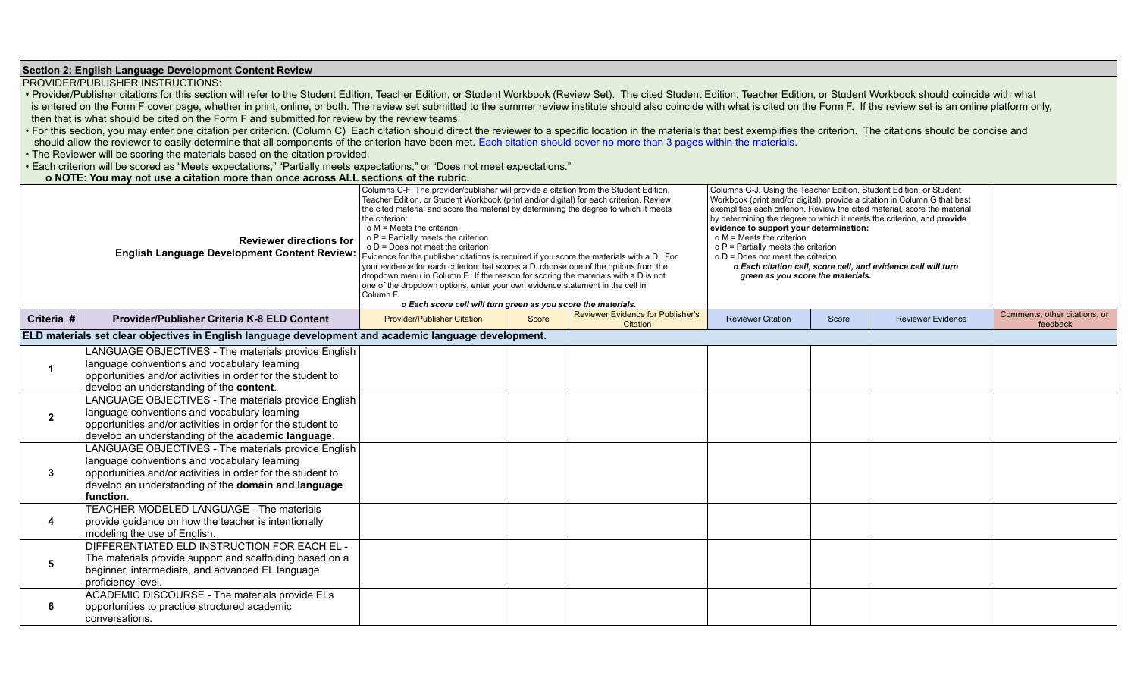|                 | Section 2: English Language Development Content Review                                                                                                                                                                                 |                                                                                                                                                                                                                                                                                                                                                                                                                                                                                                                                                                                                                                                                                                                                                                                                                                                   |       |                                          |                                                                                                                                                                                                                                                                                                                                                                                                                                                                                                                                                                       |       |                          |                               |  |
|-----------------|----------------------------------------------------------------------------------------------------------------------------------------------------------------------------------------------------------------------------------------|---------------------------------------------------------------------------------------------------------------------------------------------------------------------------------------------------------------------------------------------------------------------------------------------------------------------------------------------------------------------------------------------------------------------------------------------------------------------------------------------------------------------------------------------------------------------------------------------------------------------------------------------------------------------------------------------------------------------------------------------------------------------------------------------------------------------------------------------------|-------|------------------------------------------|-----------------------------------------------------------------------------------------------------------------------------------------------------------------------------------------------------------------------------------------------------------------------------------------------------------------------------------------------------------------------------------------------------------------------------------------------------------------------------------------------------------------------------------------------------------------------|-------|--------------------------|-------------------------------|--|
|                 | PROVIDER/PUBLISHER INSTRUCTIONS:                                                                                                                                                                                                       |                                                                                                                                                                                                                                                                                                                                                                                                                                                                                                                                                                                                                                                                                                                                                                                                                                                   |       |                                          |                                                                                                                                                                                                                                                                                                                                                                                                                                                                                                                                                                       |       |                          |                               |  |
|                 | . Provider/Publisher citations for this section will refer to the Student Edition, Teacher Edition, or Student Workbook (Review Set). The cited Student Edition, Teacher Edition, or Student Workbook should coincide with wha         |                                                                                                                                                                                                                                                                                                                                                                                                                                                                                                                                                                                                                                                                                                                                                                                                                                                   |       |                                          |                                                                                                                                                                                                                                                                                                                                                                                                                                                                                                                                                                       |       |                          |                               |  |
|                 | is entered on the Form F cover page, whether in print, online, or both. The review set submitted to the summer review institute should also coincide with what is cited on the Form F. If the review set is an online platform         |                                                                                                                                                                                                                                                                                                                                                                                                                                                                                                                                                                                                                                                                                                                                                                                                                                                   |       |                                          |                                                                                                                                                                                                                                                                                                                                                                                                                                                                                                                                                                       |       |                          |                               |  |
|                 | then that is what should be cited on the Form F and submitted for review by the review teams.                                                                                                                                          |                                                                                                                                                                                                                                                                                                                                                                                                                                                                                                                                                                                                                                                                                                                                                                                                                                                   |       |                                          |                                                                                                                                                                                                                                                                                                                                                                                                                                                                                                                                                                       |       |                          |                               |  |
|                 | For this section, you may enter one citation per criterion. (Column C) Each citation should direct the reviewer to a specific location in the materials that best exemplifies the criterion. The citations should be concise a         |                                                                                                                                                                                                                                                                                                                                                                                                                                                                                                                                                                                                                                                                                                                                                                                                                                                   |       |                                          |                                                                                                                                                                                                                                                                                                                                                                                                                                                                                                                                                                       |       |                          |                               |  |
|                 | should allow the reviewer to easily determine that all components of the criterion have been met. Each citation should cover no more than 3 pages within the materials.                                                                |                                                                                                                                                                                                                                                                                                                                                                                                                                                                                                                                                                                                                                                                                                                                                                                                                                                   |       |                                          |                                                                                                                                                                                                                                                                                                                                                                                                                                                                                                                                                                       |       |                          |                               |  |
|                 | . The Reviewer will be scoring the materials based on the citation provided.                                                                                                                                                           |                                                                                                                                                                                                                                                                                                                                                                                                                                                                                                                                                                                                                                                                                                                                                                                                                                                   |       |                                          |                                                                                                                                                                                                                                                                                                                                                                                                                                                                                                                                                                       |       |                          |                               |  |
|                 | • Each criterion will be scored as "Meets expectations," "Partially meets expectations," or "Does not meet expectations."                                                                                                              |                                                                                                                                                                                                                                                                                                                                                                                                                                                                                                                                                                                                                                                                                                                                                                                                                                                   |       |                                          |                                                                                                                                                                                                                                                                                                                                                                                                                                                                                                                                                                       |       |                          |                               |  |
|                 | o NOTE: You may not use a citation more than once across ALL sections of the rubric.                                                                                                                                                   |                                                                                                                                                                                                                                                                                                                                                                                                                                                                                                                                                                                                                                                                                                                                                                                                                                                   |       |                                          |                                                                                                                                                                                                                                                                                                                                                                                                                                                                                                                                                                       |       |                          |                               |  |
|                 | <b>Reviewer directions for</b><br>English Language Development Content Review:                                                                                                                                                         | Columns C-F: The provider/publisher will provide a citation from the Student Edition,<br>Teacher Edition, or Student Workbook (print and/or digital) for each criterion. Review<br>the cited material and score the material by determining the degree to which it meets<br>the criterion:<br>$o$ M = Meets the criterion<br>$o P$ = Partially meets the criterion<br>o D = Does not meet the criterion<br>Evidence for the publisher citations is required if you score the materials with a D. For<br>your evidence for each criterion that scores a D, choose one of the options from the<br>dropdown menu in Column F. If the reason for scoring the materials with a D is not<br>one of the dropdown options, enter your own evidence statement in the cell in<br>Column F.<br>o Each score cell will turn green as you score the materials. |       |                                          | Columns G-J: Using the Teacher Edition, Student Edition, or Student<br>Workbook (print and/or digital), provide a citation in Column G that best<br>exemplifies each criterion. Review the cited material, score the material<br>by determining the degree to which it meets the criterion, and provide<br>evidence to support your determination:<br>$o$ M = Meets the criterion<br>o P = Partially meets the criterion<br>$o D = Does not meet the criterion$<br>o Each citation cell, score cell, and evidence cell will turn<br>green as you score the materials. |       |                          |                               |  |
| Criteria #      | Provider/Publisher Criteria K-8 ELD Content                                                                                                                                                                                            | <b>Provider/Publisher Citation</b>                                                                                                                                                                                                                                                                                                                                                                                                                                                                                                                                                                                                                                                                                                                                                                                                                | Score | <b>Reviewer Evidence for Publisher's</b> | <b>Reviewer Citation</b>                                                                                                                                                                                                                                                                                                                                                                                                                                                                                                                                              | Score | <b>Reviewer Evidence</b> | Comments, other citations, or |  |
|                 | ELD materials set clear objectives in English language development and academic language development.                                                                                                                                  |                                                                                                                                                                                                                                                                                                                                                                                                                                                                                                                                                                                                                                                                                                                                                                                                                                                   |       | Citation                                 |                                                                                                                                                                                                                                                                                                                                                                                                                                                                                                                                                                       |       |                          | feedback                      |  |
|                 |                                                                                                                                                                                                                                        |                                                                                                                                                                                                                                                                                                                                                                                                                                                                                                                                                                                                                                                                                                                                                                                                                                                   |       |                                          |                                                                                                                                                                                                                                                                                                                                                                                                                                                                                                                                                                       |       |                          |                               |  |
| $\mathbf 1$     | LANGUAGE OBJECTIVES - The materials provide English<br>language conventions and vocabulary learning<br>opportunities and/or activities in order for the student to<br>develop an understanding of the content.                         |                                                                                                                                                                                                                                                                                                                                                                                                                                                                                                                                                                                                                                                                                                                                                                                                                                                   |       |                                          |                                                                                                                                                                                                                                                                                                                                                                                                                                                                                                                                                                       |       |                          |                               |  |
| $\mathbf{2}$    | LANGUAGE OBJECTIVES - The materials provide English<br>language conventions and vocabulary learning<br>opportunities and/or activities in order for the student to<br>develop an understanding of the academic language.               |                                                                                                                                                                                                                                                                                                                                                                                                                                                                                                                                                                                                                                                                                                                                                                                                                                                   |       |                                          |                                                                                                                                                                                                                                                                                                                                                                                                                                                                                                                                                                       |       |                          |                               |  |
| $\mathbf{3}$    | LANGUAGE OBJECTIVES - The materials provide English<br>language conventions and vocabulary learning<br>opportunities and/or activities in order for the student to<br>develop an understanding of the domain and language<br>function. |                                                                                                                                                                                                                                                                                                                                                                                                                                                                                                                                                                                                                                                                                                                                                                                                                                                   |       |                                          |                                                                                                                                                                                                                                                                                                                                                                                                                                                                                                                                                                       |       |                          |                               |  |
| 4               | TEACHER MODELED LANGUAGE - The materials<br>provide guidance on how the teacher is intentionally<br>modeling the use of English.                                                                                                       |                                                                                                                                                                                                                                                                                                                                                                                                                                                                                                                                                                                                                                                                                                                                                                                                                                                   |       |                                          |                                                                                                                                                                                                                                                                                                                                                                                                                                                                                                                                                                       |       |                          |                               |  |
| $5\phantom{.0}$ | DIFFERENTIATED ELD INSTRUCTION FOR EACH EL -<br>The materials provide support and scaffolding based on a<br>beginner, intermediate, and advanced EL language<br>proficiency level.                                                     |                                                                                                                                                                                                                                                                                                                                                                                                                                                                                                                                                                                                                                                                                                                                                                                                                                                   |       |                                          |                                                                                                                                                                                                                                                                                                                                                                                                                                                                                                                                                                       |       |                          |                               |  |
| 6               | ACADEMIC DISCOURSE - The materials provide ELs<br>opportunities to practice structured academic<br>conversations.                                                                                                                      |                                                                                                                                                                                                                                                                                                                                                                                                                                                                                                                                                                                                                                                                                                                                                                                                                                                   |       |                                          |                                                                                                                                                                                                                                                                                                                                                                                                                                                                                                                                                                       |       |                          |                               |  |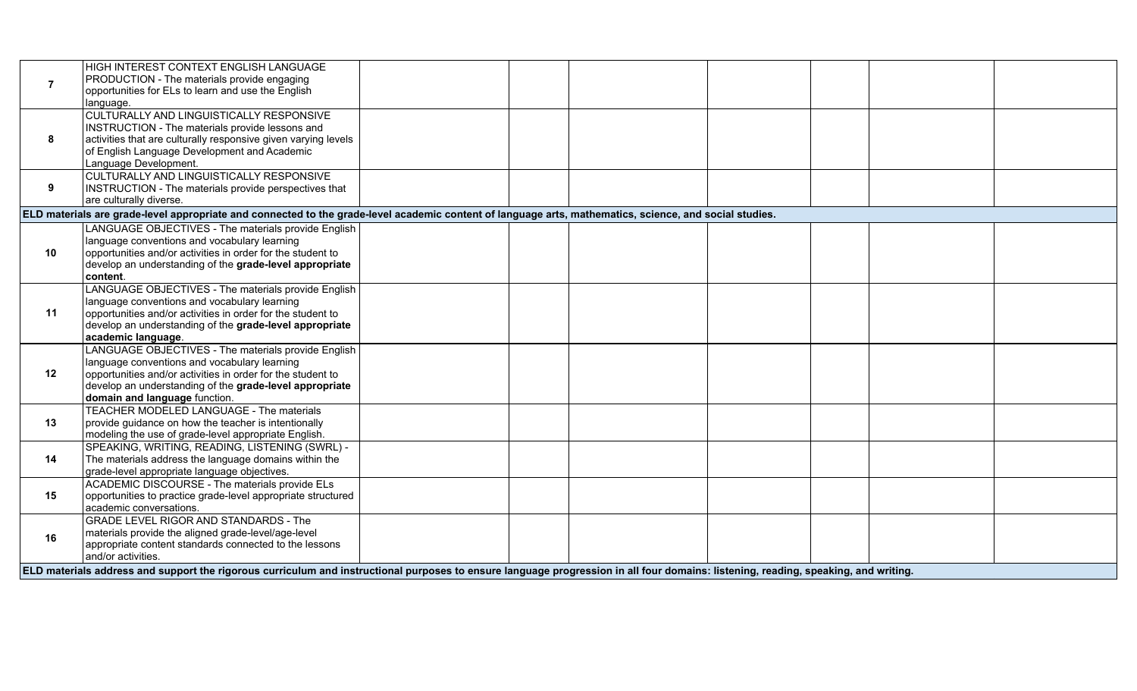|                               | HIGH INTEREST CONTEXT ENGLISH LANGUAGE                         |                                                                                                                                                                                     |  |  |
|-------------------------------|----------------------------------------------------------------|-------------------------------------------------------------------------------------------------------------------------------------------------------------------------------------|--|--|
| $\overline{7}$                | PRODUCTION - The materials provide engaging                    |                                                                                                                                                                                     |  |  |
|                               | opportunities for ELs to learn and use the English             |                                                                                                                                                                                     |  |  |
| language.                     |                                                                |                                                                                                                                                                                     |  |  |
|                               | <b>CULTURALLY AND LINGUISTICALLY RESPONSIVE</b>                |                                                                                                                                                                                     |  |  |
|                               | INSTRUCTION - The materials provide lessons and                |                                                                                                                                                                                     |  |  |
| 8                             | activities that are culturally responsive given varying levels |                                                                                                                                                                                     |  |  |
|                               | of English Language Development and Academic                   |                                                                                                                                                                                     |  |  |
| Language Development.         |                                                                |                                                                                                                                                                                     |  |  |
|                               | CULTURALLY AND LINGUISTICALLY RESPONSIVE                       |                                                                                                                                                                                     |  |  |
| 9                             | INSTRUCTION - The materials provide perspectives that          |                                                                                                                                                                                     |  |  |
| are culturally diverse.       |                                                                |                                                                                                                                                                                     |  |  |
|                               |                                                                | ELD materials are grade-level appropriate and connected to the grade-level academic content of language arts, mathematics, science, and social studies.                             |  |  |
|                               | LANGUAGE OBJECTIVES - The materials provide English            |                                                                                                                                                                                     |  |  |
|                               | language conventions and vocabulary learning                   |                                                                                                                                                                                     |  |  |
| 10                            | opportunities and/or activities in order for the student to    |                                                                                                                                                                                     |  |  |
|                               | develop an understanding of the grade-level appropriate        |                                                                                                                                                                                     |  |  |
| content.                      |                                                                |                                                                                                                                                                                     |  |  |
|                               | LANGUAGE OBJECTIVES - The materials provide English            |                                                                                                                                                                                     |  |  |
|                               | language conventions and vocabulary learning                   |                                                                                                                                                                                     |  |  |
| 11                            | opportunities and/or activities in order for the student to    |                                                                                                                                                                                     |  |  |
|                               | develop an understanding of the grade-level appropriate        |                                                                                                                                                                                     |  |  |
| academic language.            |                                                                |                                                                                                                                                                                     |  |  |
|                               | LANGUAGE OBJECTIVES - The materials provide English            |                                                                                                                                                                                     |  |  |
|                               | language conventions and vocabulary learning                   |                                                                                                                                                                                     |  |  |
| 12                            | opportunities and/or activities in order for the student to    |                                                                                                                                                                                     |  |  |
|                               | develop an understanding of the grade-level appropriate        |                                                                                                                                                                                     |  |  |
| domain and language function. |                                                                |                                                                                                                                                                                     |  |  |
|                               | TEACHER MODELED LANGUAGE - The materials                       |                                                                                                                                                                                     |  |  |
| 13                            | provide guidance on how the teacher is intentionally           |                                                                                                                                                                                     |  |  |
|                               | modeling the use of grade-level appropriate English.           |                                                                                                                                                                                     |  |  |
|                               | SPEAKING, WRITING, READING, LISTENING (SWRL) -                 |                                                                                                                                                                                     |  |  |
| 14                            | The materials address the language domains within the          |                                                                                                                                                                                     |  |  |
|                               | grade-level appropriate language objectives.                   |                                                                                                                                                                                     |  |  |
|                               | ACADEMIC DISCOURSE - The materials provide ELs                 |                                                                                                                                                                                     |  |  |
| 15                            | opportunities to practice grade-level appropriate structured   |                                                                                                                                                                                     |  |  |
| academic conversations.       |                                                                |                                                                                                                                                                                     |  |  |
|                               | <b>GRADE LEVEL RIGOR AND STANDARDS - The</b>                   |                                                                                                                                                                                     |  |  |
| 16                            | materials provide the aligned grade-level/age-level            |                                                                                                                                                                                     |  |  |
|                               | appropriate content standards connected to the lessons         |                                                                                                                                                                                     |  |  |
| and/or activities.            |                                                                |                                                                                                                                                                                     |  |  |
|                               |                                                                | ELD materials address and support the rigorous curriculum and instructional purposes to ensure language progression in all four domains: listening, reading, speaking, and writing. |  |  |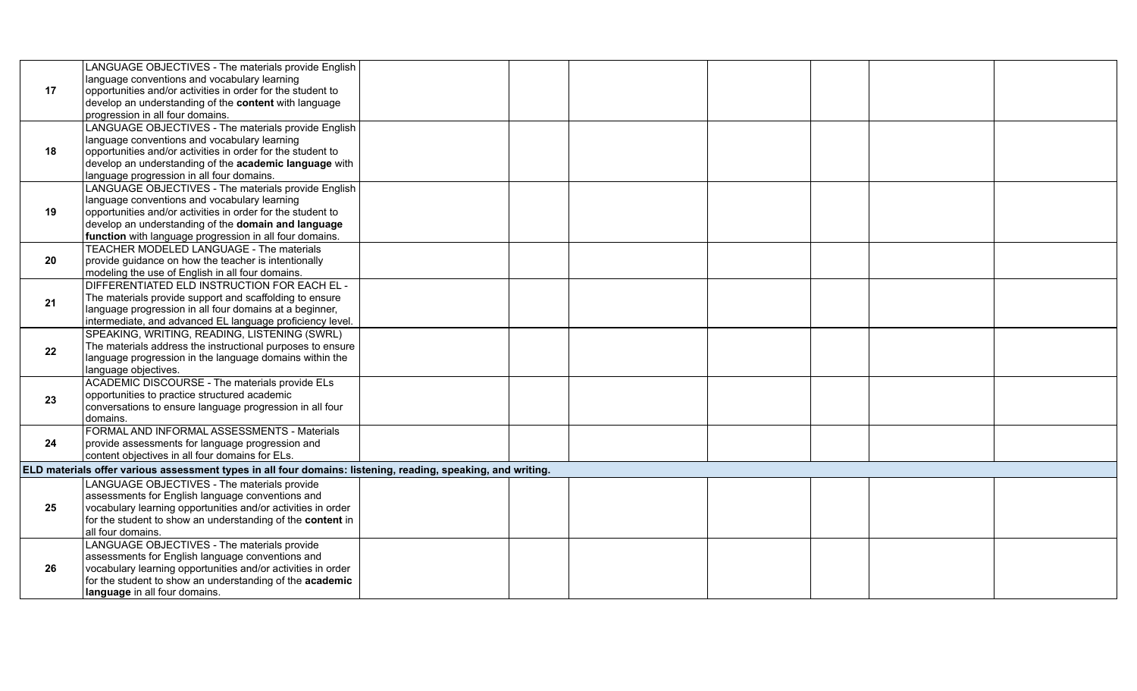|    | LANGUAGE OBJECTIVES - The materials provide English                                                          |  |  |  |  |
|----|--------------------------------------------------------------------------------------------------------------|--|--|--|--|
|    | language conventions and vocabulary learning                                                                 |  |  |  |  |
| 17 | opportunities and/or activities in order for the student to                                                  |  |  |  |  |
|    | develop an understanding of the content with language                                                        |  |  |  |  |
|    | progression in all four domains.                                                                             |  |  |  |  |
|    | LANGUAGE OBJECTIVES - The materials provide English                                                          |  |  |  |  |
|    | Ianguage conventions and vocabulary learning                                                                 |  |  |  |  |
| 18 | opportunities and/or activities in order for the student to                                                  |  |  |  |  |
|    | develop an understanding of the academic language with                                                       |  |  |  |  |
|    | language progression in all four domains.                                                                    |  |  |  |  |
|    | LANGUAGE OBJECTIVES - The materials provide English                                                          |  |  |  |  |
|    | Ianguage conventions and vocabulary learning                                                                 |  |  |  |  |
| 19 | opportunities and/or activities in order for the student to                                                  |  |  |  |  |
|    | develop an understanding of the domain and language                                                          |  |  |  |  |
|    | function with language progression in all four domains.                                                      |  |  |  |  |
|    | TEACHER MODELED LANGUAGE - The materials                                                                     |  |  |  |  |
| 20 | provide guidance on how the teacher is intentionally                                                         |  |  |  |  |
|    | modeling the use of English in all four domains.                                                             |  |  |  |  |
|    | DIFFERENTIATED ELD INSTRUCTION FOR EACH EL -                                                                 |  |  |  |  |
| 21 | The materials provide support and scaffolding to ensure                                                      |  |  |  |  |
|    | language progression in all four domains at a beginner,                                                      |  |  |  |  |
|    | intermediate, and advanced EL language proficiency level.                                                    |  |  |  |  |
|    | SPEAKING, WRITING, READING, LISTENING (SWRL)                                                                 |  |  |  |  |
| 22 | The materials address the instructional purposes to ensure                                                   |  |  |  |  |
|    | Ianguage progression in the language domains within the                                                      |  |  |  |  |
|    | language objectives.                                                                                         |  |  |  |  |
|    | ACADEMIC DISCOURSE - The materials provide ELs                                                               |  |  |  |  |
| 23 | opportunities to practice structured academic                                                                |  |  |  |  |
|    | conversations to ensure language progression in all four                                                     |  |  |  |  |
|    | domains.                                                                                                     |  |  |  |  |
|    | FORMAL AND INFORMAL ASSESSMENTS - Materials                                                                  |  |  |  |  |
| 24 | provide assessments for language progression and                                                             |  |  |  |  |
|    | content objectives in all four domains for ELs.                                                              |  |  |  |  |
|    | ELD materials offer various assessment types in all four domains: listening, reading, speaking, and writing. |  |  |  |  |
|    | LANGUAGE OBJECTIVES - The materials provide                                                                  |  |  |  |  |
|    | assessments for English language conventions and                                                             |  |  |  |  |
| 25 | vocabulary learning opportunities and/or activities in order                                                 |  |  |  |  |
|    | for the student to show an understanding of the <b>content</b> in                                            |  |  |  |  |
|    | all four domains.                                                                                            |  |  |  |  |
|    | LANGUAGE OBJECTIVES - The materials provide                                                                  |  |  |  |  |
|    | assessments for English language conventions and                                                             |  |  |  |  |
| 26 | vocabulary learning opportunities and/or activities in order                                                 |  |  |  |  |
|    | for the student to show an understanding of the academic                                                     |  |  |  |  |
|    | language in all four domains.                                                                                |  |  |  |  |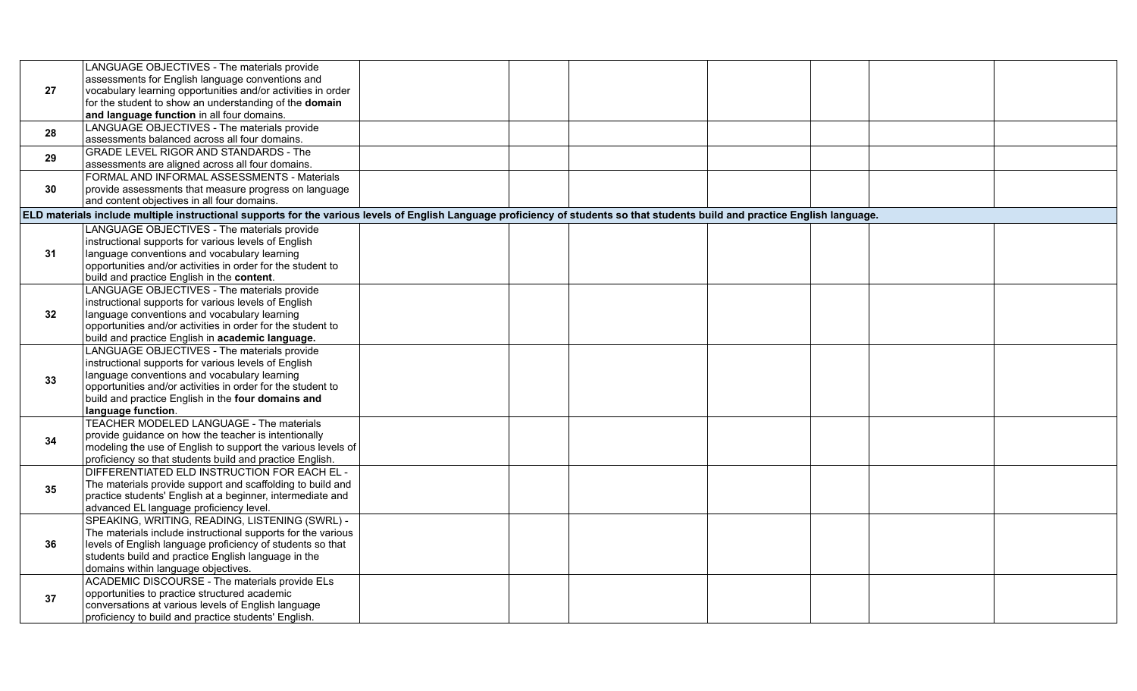|    | LANGUAGE OBJECTIVES - The materials provide                                                                                                                                    |  |  |  |  |  |  |  |  |  |
|----|--------------------------------------------------------------------------------------------------------------------------------------------------------------------------------|--|--|--|--|--|--|--|--|--|
|    | assessments for English language conventions and                                                                                                                               |  |  |  |  |  |  |  |  |  |
| 27 | vocabulary learning opportunities and/or activities in order                                                                                                                   |  |  |  |  |  |  |  |  |  |
|    | for the student to show an understanding of the domain                                                                                                                         |  |  |  |  |  |  |  |  |  |
|    | and language function in all four domains.                                                                                                                                     |  |  |  |  |  |  |  |  |  |
| 28 | LANGUAGE OBJECTIVES - The materials provide                                                                                                                                    |  |  |  |  |  |  |  |  |  |
|    | assessments balanced across all four domains.                                                                                                                                  |  |  |  |  |  |  |  |  |  |
| 29 | GRADE LEVEL RIGOR AND STANDARDS - The                                                                                                                                          |  |  |  |  |  |  |  |  |  |
|    | assessments are aligned across all four domains.                                                                                                                               |  |  |  |  |  |  |  |  |  |
|    | FORMAL AND INFORMAL ASSESSMENTS - Materials                                                                                                                                    |  |  |  |  |  |  |  |  |  |
| 30 | provide assessments that measure progress on language                                                                                                                          |  |  |  |  |  |  |  |  |  |
|    | and content objectives in all four domains.                                                                                                                                    |  |  |  |  |  |  |  |  |  |
|    | ELD materials include multiple instructional supports for the various levels of English Language proficiency of students so that students build and practice English language. |  |  |  |  |  |  |  |  |  |
|    | LANGUAGE OBJECTIVES - The materials provide                                                                                                                                    |  |  |  |  |  |  |  |  |  |
|    | instructional supports for various levels of English                                                                                                                           |  |  |  |  |  |  |  |  |  |
| 31 | language conventions and vocabulary learning                                                                                                                                   |  |  |  |  |  |  |  |  |  |
|    | opportunities and/or activities in order for the student to                                                                                                                    |  |  |  |  |  |  |  |  |  |
|    | build and practice English in the content.                                                                                                                                     |  |  |  |  |  |  |  |  |  |
|    | LANGUAGE OBJECTIVES - The materials provide                                                                                                                                    |  |  |  |  |  |  |  |  |  |
|    | instructional supports for various levels of English                                                                                                                           |  |  |  |  |  |  |  |  |  |
| 32 | language conventions and vocabulary learning                                                                                                                                   |  |  |  |  |  |  |  |  |  |
|    | opportunities and/or activities in order for the student to                                                                                                                    |  |  |  |  |  |  |  |  |  |
|    | build and practice English in academic language.                                                                                                                               |  |  |  |  |  |  |  |  |  |
|    | LANGUAGE OBJECTIVES - The materials provide                                                                                                                                    |  |  |  |  |  |  |  |  |  |
|    | instructional supports for various levels of English                                                                                                                           |  |  |  |  |  |  |  |  |  |
| 33 | language conventions and vocabulary learning                                                                                                                                   |  |  |  |  |  |  |  |  |  |
|    | opportunities and/or activities in order for the student to                                                                                                                    |  |  |  |  |  |  |  |  |  |
|    | build and practice English in the four domains and                                                                                                                             |  |  |  |  |  |  |  |  |  |
|    | language function.<br>TEACHER MODELED LANGUAGE - The materials                                                                                                                 |  |  |  |  |  |  |  |  |  |
|    | provide guidance on how the teacher is intentionally                                                                                                                           |  |  |  |  |  |  |  |  |  |
| 34 | modeling the use of English to support the various levels of                                                                                                                   |  |  |  |  |  |  |  |  |  |
|    | proficiency so that students build and practice English.                                                                                                                       |  |  |  |  |  |  |  |  |  |
|    | DIFFERENTIATED ELD INSTRUCTION FOR EACH EL -                                                                                                                                   |  |  |  |  |  |  |  |  |  |
|    | The materials provide support and scaffolding to build and                                                                                                                     |  |  |  |  |  |  |  |  |  |
| 35 | practice students' English at a beginner, intermediate and                                                                                                                     |  |  |  |  |  |  |  |  |  |
|    | advanced EL language proficiency level.                                                                                                                                        |  |  |  |  |  |  |  |  |  |
|    | SPEAKING, WRITING, READING, LISTENING (SWRL) -                                                                                                                                 |  |  |  |  |  |  |  |  |  |
|    | The materials include instructional supports for the various                                                                                                                   |  |  |  |  |  |  |  |  |  |
| 36 | levels of English language proficiency of students so that                                                                                                                     |  |  |  |  |  |  |  |  |  |
|    | students build and practice English language in the                                                                                                                            |  |  |  |  |  |  |  |  |  |
|    | domains within language objectives.                                                                                                                                            |  |  |  |  |  |  |  |  |  |
|    | ACADEMIC DISCOURSE - The materials provide ELs                                                                                                                                 |  |  |  |  |  |  |  |  |  |
|    | opportunities to practice structured academic                                                                                                                                  |  |  |  |  |  |  |  |  |  |
| 37 | conversations at various levels of English language                                                                                                                            |  |  |  |  |  |  |  |  |  |
|    | proficiency to build and practice students' English.                                                                                                                           |  |  |  |  |  |  |  |  |  |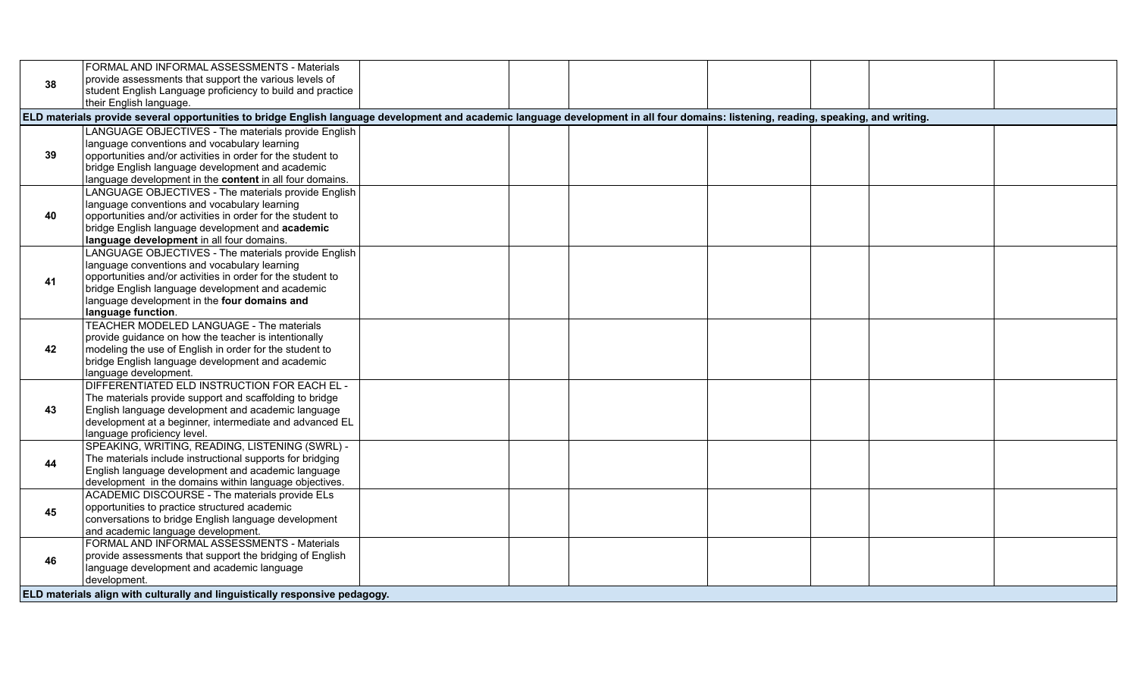|    | FORMAL AND INFORMAL ASSESSMENTS - Materials                                                                                                                                          |  |  |  |  |
|----|--------------------------------------------------------------------------------------------------------------------------------------------------------------------------------------|--|--|--|--|
| 38 | provide assessments that support the various levels of                                                                                                                               |  |  |  |  |
|    | student English Language proficiency to build and practice                                                                                                                           |  |  |  |  |
|    | their English language.                                                                                                                                                              |  |  |  |  |
|    | ELD materials provide several opportunities to bridge English language development and academic language development in all four domains: listening, reading, speaking, and writing. |  |  |  |  |
|    | LANGUAGE OBJECTIVES - The materials provide English                                                                                                                                  |  |  |  |  |
|    | language conventions and vocabulary learning                                                                                                                                         |  |  |  |  |
| 39 | opportunities and/or activities in order for the student to                                                                                                                          |  |  |  |  |
|    | bridge English language development and academic                                                                                                                                     |  |  |  |  |
|    | language development in the content in all four domains.                                                                                                                             |  |  |  |  |
|    | LANGUAGE OBJECTIVES - The materials provide English                                                                                                                                  |  |  |  |  |
|    | language conventions and vocabulary learning                                                                                                                                         |  |  |  |  |
| 40 | opportunities and/or activities in order for the student to                                                                                                                          |  |  |  |  |
|    | bridge English language development and academic                                                                                                                                     |  |  |  |  |
|    | language development in all four domains.                                                                                                                                            |  |  |  |  |
|    | LANGUAGE OBJECTIVES - The materials provide English                                                                                                                                  |  |  |  |  |
|    | language conventions and vocabulary learning                                                                                                                                         |  |  |  |  |
| 41 | opportunities and/or activities in order for the student to                                                                                                                          |  |  |  |  |
|    | bridge English language development and academic                                                                                                                                     |  |  |  |  |
|    | language development in the four domains and                                                                                                                                         |  |  |  |  |
|    | language function.                                                                                                                                                                   |  |  |  |  |
|    | TEACHER MODELED LANGUAGE - The materials                                                                                                                                             |  |  |  |  |
|    | provide guidance on how the teacher is intentionally                                                                                                                                 |  |  |  |  |
| 42 | modeling the use of English in order for the student to                                                                                                                              |  |  |  |  |
|    | bridge English language development and academic                                                                                                                                     |  |  |  |  |
|    | language development.<br>DIFFERENTIATED ELD INSTRUCTION FOR EACH EL -                                                                                                                |  |  |  |  |
|    |                                                                                                                                                                                      |  |  |  |  |
| 43 | The materials provide support and scaffolding to bridge<br>English language development and academic language                                                                        |  |  |  |  |
|    | development at a beginner, intermediate and advanced EL                                                                                                                              |  |  |  |  |
|    | language proficiency level.                                                                                                                                                          |  |  |  |  |
|    | SPEAKING, WRITING, READING, LISTENING (SWRL) -                                                                                                                                       |  |  |  |  |
|    | The materials include instructional supports for bridging                                                                                                                            |  |  |  |  |
| 44 | English language development and academic language                                                                                                                                   |  |  |  |  |
|    | development in the domains within language objectives.                                                                                                                               |  |  |  |  |
|    | ACADEMIC DISCOURSE - The materials provide ELs                                                                                                                                       |  |  |  |  |
| 45 | opportunities to practice structured academic                                                                                                                                        |  |  |  |  |
|    | conversations to bridge English language development                                                                                                                                 |  |  |  |  |
|    | and academic language development.                                                                                                                                                   |  |  |  |  |
|    | FORMAL AND INFORMAL ASSESSMENTS - Materials                                                                                                                                          |  |  |  |  |
| 46 | provide assessments that support the bridging of English                                                                                                                             |  |  |  |  |
|    | language development and academic language                                                                                                                                           |  |  |  |  |
|    | development.                                                                                                                                                                         |  |  |  |  |
|    | ELD materials align with culturally and linguistically responsive pedagogy.                                                                                                          |  |  |  |  |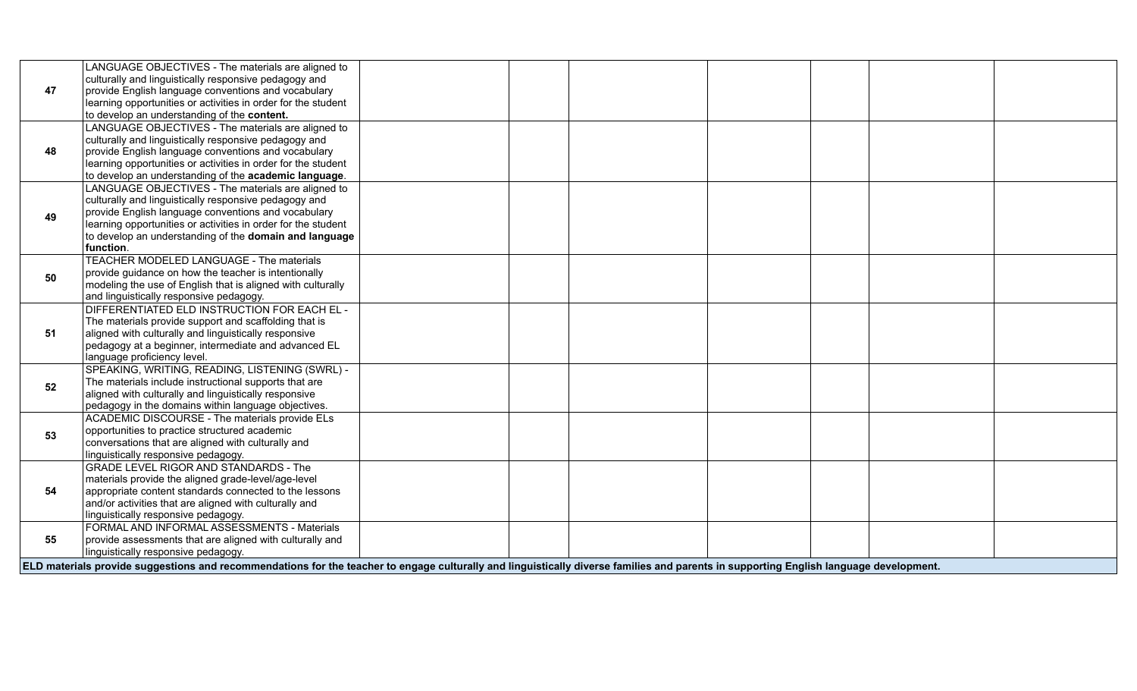|    | LANGUAGE OBJECTIVES - The materials are aligned to                                                                                                                                     |  |  |  |
|----|----------------------------------------------------------------------------------------------------------------------------------------------------------------------------------------|--|--|--|
|    | culturally and linguistically responsive pedagogy and                                                                                                                                  |  |  |  |
| 47 | provide English language conventions and vocabulary                                                                                                                                    |  |  |  |
|    | learning opportunities or activities in order for the student                                                                                                                          |  |  |  |
|    | to develop an understanding of the content.                                                                                                                                            |  |  |  |
|    | LANGUAGE OBJECTIVES - The materials are aligned to                                                                                                                                     |  |  |  |
|    | culturally and linguistically responsive pedagogy and                                                                                                                                  |  |  |  |
| 48 | provide English language conventions and vocabulary                                                                                                                                    |  |  |  |
|    | learning opportunities or activities in order for the student                                                                                                                          |  |  |  |
|    | to develop an understanding of the academic language.                                                                                                                                  |  |  |  |
|    | LANGUAGE OBJECTIVES - The materials are aligned to                                                                                                                                     |  |  |  |
|    | culturally and linguistically responsive pedagogy and                                                                                                                                  |  |  |  |
|    | provide English language conventions and vocabulary                                                                                                                                    |  |  |  |
| 49 | learning opportunities or activities in order for the student                                                                                                                          |  |  |  |
|    | to develop an understanding of the domain and language                                                                                                                                 |  |  |  |
|    | function.                                                                                                                                                                              |  |  |  |
|    | TEACHER MODELED LANGUAGE - The materials                                                                                                                                               |  |  |  |
| 50 | provide guidance on how the teacher is intentionally                                                                                                                                   |  |  |  |
|    | modeling the use of English that is aligned with culturally                                                                                                                            |  |  |  |
|    | and linguistically responsive pedagogy.                                                                                                                                                |  |  |  |
|    | DIFFERENTIATED ELD INSTRUCTION FOR EACH EL -                                                                                                                                           |  |  |  |
|    | The materials provide support and scaffolding that is                                                                                                                                  |  |  |  |
| 51 | aligned with culturally and linguistically responsive                                                                                                                                  |  |  |  |
|    | pedagogy at a beginner, intermediate and advanced EL                                                                                                                                   |  |  |  |
|    | language proficiency level.                                                                                                                                                            |  |  |  |
|    | SPEAKING, WRITING, READING, LISTENING (SWRL) -                                                                                                                                         |  |  |  |
| 52 | The materials include instructional supports that are                                                                                                                                  |  |  |  |
|    | aligned with culturally and linguistically responsive                                                                                                                                  |  |  |  |
|    | pedagogy in the domains within language objectives.                                                                                                                                    |  |  |  |
|    | ACADEMIC DISCOURSE - The materials provide ELs                                                                                                                                         |  |  |  |
| 53 | opportunities to practice structured academic                                                                                                                                          |  |  |  |
|    | conversations that are aligned with culturally and                                                                                                                                     |  |  |  |
|    | linguistically responsive pedagogy.                                                                                                                                                    |  |  |  |
|    | <b>GRADE LEVEL RIGOR AND STANDARDS - The</b>                                                                                                                                           |  |  |  |
|    | materials provide the aligned grade-level/age-level                                                                                                                                    |  |  |  |
| 54 | appropriate content standards connected to the lessons                                                                                                                                 |  |  |  |
|    | and/or activities that are aligned with culturally and                                                                                                                                 |  |  |  |
|    | linguistically responsive pedagogy.                                                                                                                                                    |  |  |  |
|    | FORMAL AND INFORMAL ASSESSMENTS - Materials                                                                                                                                            |  |  |  |
| 55 | provide assessments that are aligned with culturally and                                                                                                                               |  |  |  |
|    | linguistically responsive pedagogy.                                                                                                                                                    |  |  |  |
|    | ELD materials provide suggestions and recommendations for the teacher to engage culturally and linguistically diverse families and parents in supporting English language development. |  |  |  |
|    |                                                                                                                                                                                        |  |  |  |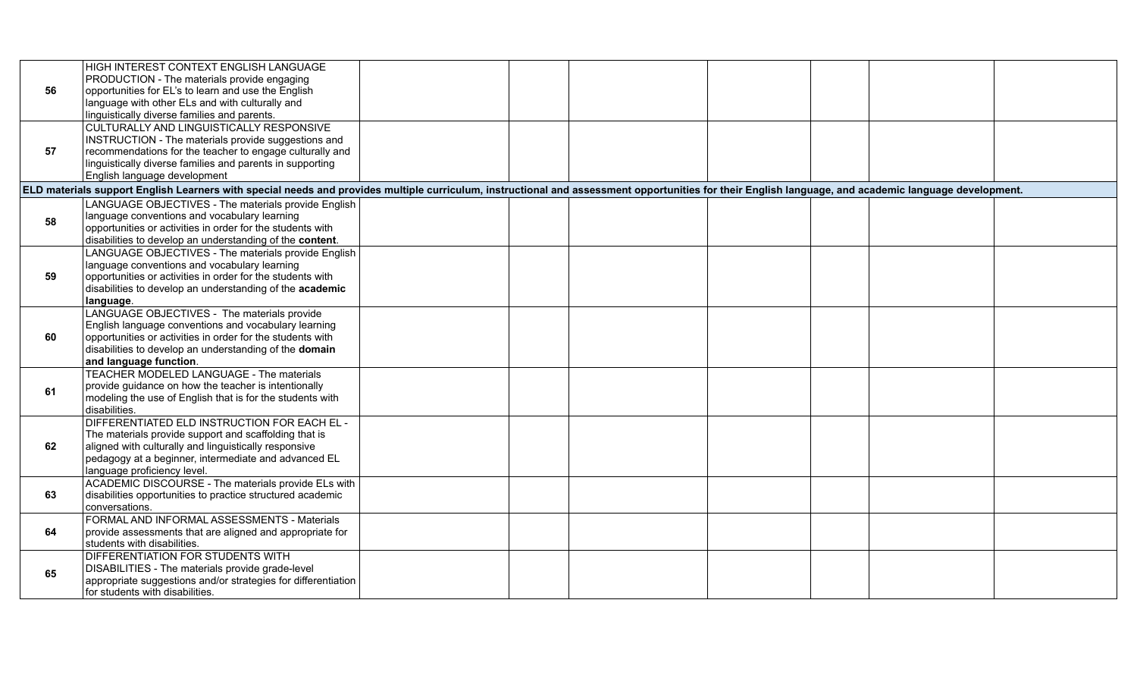|    | HIGH INTEREST CONTEXT ENGLISH LANGUAGE                                                                                                                                                                |  |  |  |
|----|-------------------------------------------------------------------------------------------------------------------------------------------------------------------------------------------------------|--|--|--|
|    | PRODUCTION - The materials provide engaging                                                                                                                                                           |  |  |  |
| 56 | opportunities for EL's to learn and use the English                                                                                                                                                   |  |  |  |
|    | language with other ELs and with culturally and                                                                                                                                                       |  |  |  |
|    | linguistically diverse families and parents.                                                                                                                                                          |  |  |  |
|    | CULTURALLY AND LINGUISTICALLY RESPONSIVE                                                                                                                                                              |  |  |  |
|    | INSTRUCTION - The materials provide suggestions and                                                                                                                                                   |  |  |  |
| 57 | recommendations for the teacher to engage culturally and                                                                                                                                              |  |  |  |
|    | linguistically diverse families and parents in supporting                                                                                                                                             |  |  |  |
|    | English language development                                                                                                                                                                          |  |  |  |
|    | ELD materials support English Learners with special needs and provides multiple curriculum, instructional and assessment opportunities for their English language, and academic language development. |  |  |  |
|    | LANGUAGE OBJECTIVES - The materials provide English                                                                                                                                                   |  |  |  |
| 58 | language conventions and vocabulary learning                                                                                                                                                          |  |  |  |
|    | opportunities or activities in order for the students with                                                                                                                                            |  |  |  |
|    | disabilities to develop an understanding of the content.                                                                                                                                              |  |  |  |
|    | LANGUAGE OBJECTIVES - The materials provide English                                                                                                                                                   |  |  |  |
|    | language conventions and vocabulary learning                                                                                                                                                          |  |  |  |
| 59 | opportunities or activities in order for the students with                                                                                                                                            |  |  |  |
|    | disabilities to develop an understanding of the academic                                                                                                                                              |  |  |  |
|    | language.                                                                                                                                                                                             |  |  |  |
|    | LANGUAGE OBJECTIVES - The materials provide                                                                                                                                                           |  |  |  |
|    | English language conventions and vocabulary learning                                                                                                                                                  |  |  |  |
| 60 | opportunities or activities in order for the students with                                                                                                                                            |  |  |  |
|    | disabilities to develop an understanding of the domain                                                                                                                                                |  |  |  |
|    | and language function.<br>TEACHER MODELED LANGUAGE - The materials                                                                                                                                    |  |  |  |
|    |                                                                                                                                                                                                       |  |  |  |
| 61 | provide guidance on how the teacher is intentionally<br>modeling the use of English that is for the students with                                                                                     |  |  |  |
|    | disabilities.                                                                                                                                                                                         |  |  |  |
|    | DIFFERENTIATED ELD INSTRUCTION FOR EACH EL -                                                                                                                                                          |  |  |  |
|    | The materials provide support and scaffolding that is                                                                                                                                                 |  |  |  |
| 62 | aligned with culturally and linguistically responsive                                                                                                                                                 |  |  |  |
|    | pedagogy at a beginner, intermediate and advanced EL                                                                                                                                                  |  |  |  |
|    | language proficiency level.                                                                                                                                                                           |  |  |  |
|    | ACADEMIC DISCOURSE - The materials provide ELs with                                                                                                                                                   |  |  |  |
| 63 | disabilities opportunities to practice structured academic                                                                                                                                            |  |  |  |
|    | conversations.                                                                                                                                                                                        |  |  |  |
|    | FORMAL AND INFORMAL ASSESSMENTS - Materials                                                                                                                                                           |  |  |  |
| 64 | provide assessments that are aligned and appropriate for                                                                                                                                              |  |  |  |
|    | students with disabilities.                                                                                                                                                                           |  |  |  |
|    | <b>DIFFERENTIATION FOR STUDENTS WITH</b>                                                                                                                                                              |  |  |  |
|    | DISABILITIES - The materials provide grade-level                                                                                                                                                      |  |  |  |
| 65 | appropriate suggestions and/or strategies for differentiation                                                                                                                                         |  |  |  |
|    | for students with disabilities.                                                                                                                                                                       |  |  |  |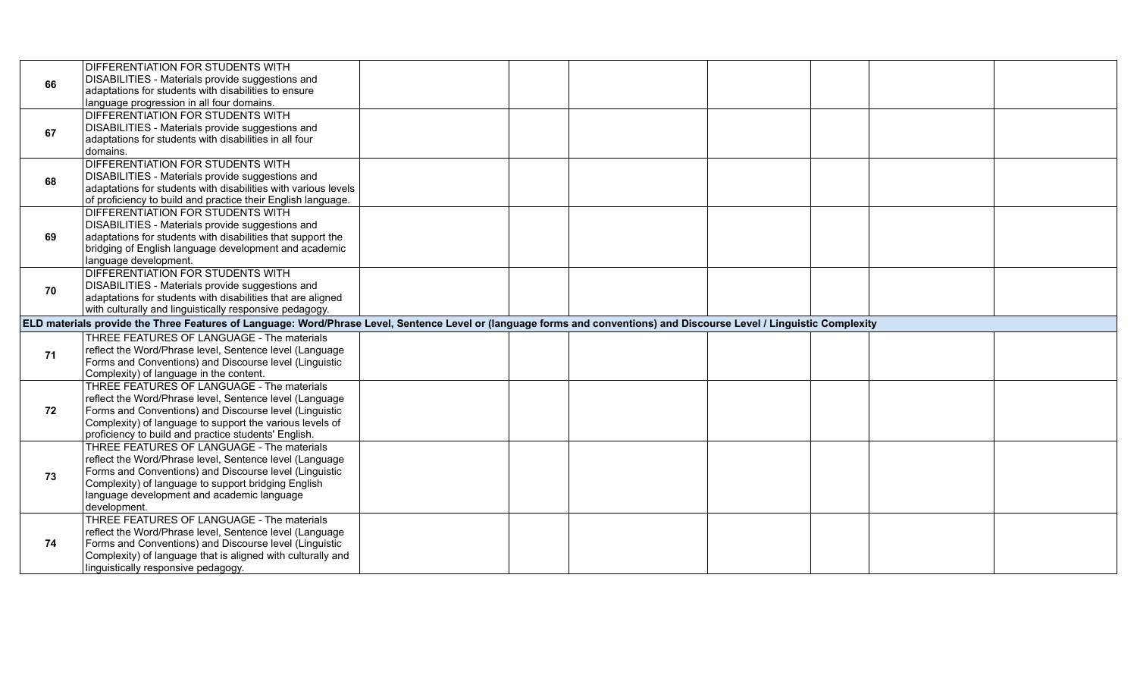| 66 | <b>DIFFERENTIATION FOR STUDENTS WITH</b>                                                                                                                                |  |  |  |  |
|----|-------------------------------------------------------------------------------------------------------------------------------------------------------------------------|--|--|--|--|
|    | DISABILITIES - Materials provide suggestions and                                                                                                                        |  |  |  |  |
|    | adaptations for students with disabilities to ensure                                                                                                                    |  |  |  |  |
|    | language progression in all four domains.                                                                                                                               |  |  |  |  |
|    | DIFFERENTIATION FOR STUDENTS WITH                                                                                                                                       |  |  |  |  |
| 67 | DISABILITIES - Materials provide suggestions and                                                                                                                        |  |  |  |  |
|    | adaptations for students with disabilities in all four                                                                                                                  |  |  |  |  |
|    | domains.                                                                                                                                                                |  |  |  |  |
|    | DIFFERENTIATION FOR STUDENTS WITH                                                                                                                                       |  |  |  |  |
| 68 | DISABILITIES - Materials provide suggestions and                                                                                                                        |  |  |  |  |
|    | adaptations for students with disabilities with various levels                                                                                                          |  |  |  |  |
|    | of proficiency to build and practice their English language.                                                                                                            |  |  |  |  |
|    | DIFFERENTIATION FOR STUDENTS WITH                                                                                                                                       |  |  |  |  |
|    | DISABILITIES - Materials provide suggestions and                                                                                                                        |  |  |  |  |
| 69 | adaptations for students with disabilities that support the                                                                                                             |  |  |  |  |
|    | bridging of English language development and academic                                                                                                                   |  |  |  |  |
|    | language development.                                                                                                                                                   |  |  |  |  |
|    | DIFFERENTIATION FOR STUDENTS WITH                                                                                                                                       |  |  |  |  |
| 70 | DISABILITIES - Materials provide suggestions and                                                                                                                        |  |  |  |  |
|    | adaptations for students with disabilities that are aligned                                                                                                             |  |  |  |  |
|    | with culturally and linguistically responsive pedagogy.                                                                                                                 |  |  |  |  |
|    | ELD materials provide the Three Features of Language: Word/Phrase Level, Sentence Level or (language forms and conventions) and Discourse Level / Linguistic Complexity |  |  |  |  |
|    | THREE FEATURES OF LANGUAGE - The materials                                                                                                                              |  |  |  |  |
| 71 | reflect the Word/Phrase level, Sentence level (Language                                                                                                                 |  |  |  |  |
|    |                                                                                                                                                                         |  |  |  |  |
|    | Forms and Conventions) and Discourse level (Linguistic                                                                                                                  |  |  |  |  |
|    | Complexity) of language in the content.                                                                                                                                 |  |  |  |  |
|    | THREE FEATURES OF LANGUAGE - The materials                                                                                                                              |  |  |  |  |
|    | reflect the Word/Phrase level, Sentence level (Language                                                                                                                 |  |  |  |  |
| 72 | Forms and Conventions) and Discourse level (Linguistic                                                                                                                  |  |  |  |  |
|    | Complexity) of language to support the various levels of                                                                                                                |  |  |  |  |
|    | proficiency to build and practice students' English.                                                                                                                    |  |  |  |  |
|    | THREE FEATURES OF LANGUAGE - The materials                                                                                                                              |  |  |  |  |
|    | reflect the Word/Phrase level, Sentence level (Language                                                                                                                 |  |  |  |  |
| 73 | Forms and Conventions) and Discourse level (Linguistic                                                                                                                  |  |  |  |  |
|    | Complexity) of language to support bridging English                                                                                                                     |  |  |  |  |
|    | language development and academic language                                                                                                                              |  |  |  |  |
|    | development.                                                                                                                                                            |  |  |  |  |
|    | THREE FEATURES OF LANGUAGE - The materials                                                                                                                              |  |  |  |  |
|    | reflect the Word/Phrase level, Sentence level (Language                                                                                                                 |  |  |  |  |
| 74 | Forms and Conventions) and Discourse level (Linguistic                                                                                                                  |  |  |  |  |
|    | Complexity) of language that is aligned with culturally and<br>linguistically responsive pedagogy.                                                                      |  |  |  |  |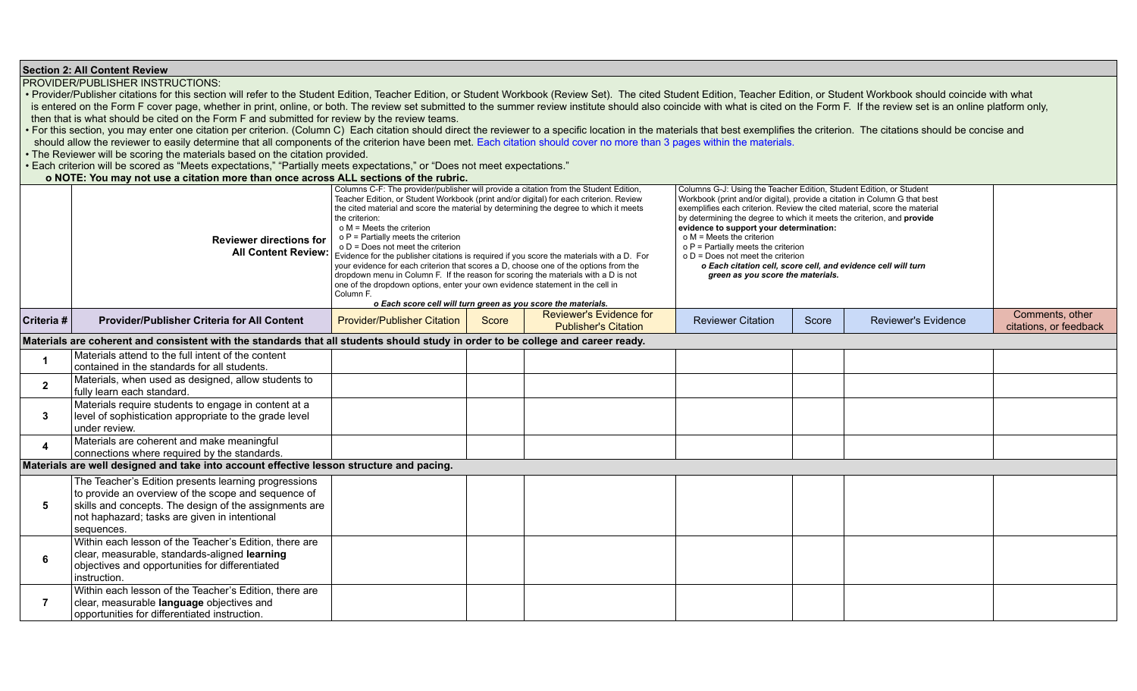**Section 2: All Content Review**

PROVIDER/PUBLISHER INSTRUCTIONS:

• Provider/Publisher citations for this section will refer to the Student Edition, Teacher Edition, or Student Workbook (Review Set). The cited Student Edition, Teacher Edition, or Student Workbook should coincide with wha is entered on the Form F cover page, whether in print, online, or both. The review set submitted to the summer review institute should also coincide with what is cited on the Form F. If the review set is an online platform then that is what should be cited on the Form F and submitted for review by the review teams.

• For this section, you may enter one citation per criterion. (Column C) Each citation should direct the reviewer to a specific location in the materials that best exemplifies the criterion. The citations should be concise should allow the reviewer to easily determine that all components of the criterion have been met. Each citation should cover no more than 3 pages within the materials.

• The Reviewer will be scoring the materials based on the citation provided.

• Each criterion will be scored as "Meets expectations," "Partially meets expectations," or "Does not meet expectations."

 **o NOTE: You may not use a citation more than once across ALL sections of the rubric.**

|              | <b>Reviewer directions for</b><br><b>All Content Review:</b>                                                                                                                                                                         | Columns C-F: The provider/publisher will provide a citation from the Student Edition,<br>Teacher Edition, or Student Workbook (print and/or digital) for each criterion. Review<br>the cited material and score the material by determining the degree to which it meets<br>the criterion:<br>o M = Meets the criterion<br>o P = Partially meets the criterion<br>o D = Does not meet the criterion<br>Evidence for the publisher citations is required if you score the materials with a D. For<br>your evidence for each criterion that scores a D, choose one of the options from the<br>dropdown menu in Column F. If the reason for scoring the materials with a D is not<br>one of the dropdown options, enter your own evidence statement in the cell in<br>Column F.<br>o Each score cell will turn green as you score the materials. |       |                                                               | Columns G-J: Using the Teacher Edition, Student Edition, or Student<br>Workbook (print and/or digital), provide a citation in Column G that best<br>exemplifies each criterion. Review the cited material, score the material<br>by determining the degree to which it meets the criterion, and provide<br>evidence to support your determination:<br>$o$ M = Meets the criterion<br>o P = Partially meets the criterion<br>$o D = Does not meet the criterion$<br>o Each citation cell, score cell, and evidence cell will turn<br>green as you score the materials. |       |                            |                                           |
|--------------|--------------------------------------------------------------------------------------------------------------------------------------------------------------------------------------------------------------------------------------|-----------------------------------------------------------------------------------------------------------------------------------------------------------------------------------------------------------------------------------------------------------------------------------------------------------------------------------------------------------------------------------------------------------------------------------------------------------------------------------------------------------------------------------------------------------------------------------------------------------------------------------------------------------------------------------------------------------------------------------------------------------------------------------------------------------------------------------------------|-------|---------------------------------------------------------------|-----------------------------------------------------------------------------------------------------------------------------------------------------------------------------------------------------------------------------------------------------------------------------------------------------------------------------------------------------------------------------------------------------------------------------------------------------------------------------------------------------------------------------------------------------------------------|-------|----------------------------|-------------------------------------------|
| Criteria #   | <b>Provider/Publisher Criteria for All Content</b>                                                                                                                                                                                   | <b>Provider/Publisher Citation</b>                                                                                                                                                                                                                                                                                                                                                                                                                                                                                                                                                                                                                                                                                                                                                                                                            | Score | <b>Reviewer's Evidence for</b><br><b>Publisher's Citation</b> | <b>Reviewer Citation</b>                                                                                                                                                                                                                                                                                                                                                                                                                                                                                                                                              | Score | <b>Reviewer's Evidence</b> | Comments, other<br>citations, or feedback |
|              | Materials are coherent and consistent with the standards that all students should study in order to be college and career ready.                                                                                                     |                                                                                                                                                                                                                                                                                                                                                                                                                                                                                                                                                                                                                                                                                                                                                                                                                                               |       |                                                               |                                                                                                                                                                                                                                                                                                                                                                                                                                                                                                                                                                       |       |                            |                                           |
|              | Materials attend to the full intent of the content<br>contained in the standards for all students.                                                                                                                                   |                                                                                                                                                                                                                                                                                                                                                                                                                                                                                                                                                                                                                                                                                                                                                                                                                                               |       |                                                               |                                                                                                                                                                                                                                                                                                                                                                                                                                                                                                                                                                       |       |                            |                                           |
| $\mathbf{2}$ | Materials, when used as designed, allow students to<br>fully learn each standard.                                                                                                                                                    |                                                                                                                                                                                                                                                                                                                                                                                                                                                                                                                                                                                                                                                                                                                                                                                                                                               |       |                                                               |                                                                                                                                                                                                                                                                                                                                                                                                                                                                                                                                                                       |       |                            |                                           |
| 3            | Materials require students to engage in content at a<br>level of sophistication appropriate to the grade level<br>under review.                                                                                                      |                                                                                                                                                                                                                                                                                                                                                                                                                                                                                                                                                                                                                                                                                                                                                                                                                                               |       |                                                               |                                                                                                                                                                                                                                                                                                                                                                                                                                                                                                                                                                       |       |                            |                                           |
| 4            | Materials are coherent and make meaningful<br>connections where required by the standards.                                                                                                                                           |                                                                                                                                                                                                                                                                                                                                                                                                                                                                                                                                                                                                                                                                                                                                                                                                                                               |       |                                                               |                                                                                                                                                                                                                                                                                                                                                                                                                                                                                                                                                                       |       |                            |                                           |
|              | Materials are well designed and take into account effective lesson structure and pacing.                                                                                                                                             |                                                                                                                                                                                                                                                                                                                                                                                                                                                                                                                                                                                                                                                                                                                                                                                                                                               |       |                                                               |                                                                                                                                                                                                                                                                                                                                                                                                                                                                                                                                                                       |       |                            |                                           |
| 5            | The Teacher's Edition presents learning progressions<br>to provide an overview of the scope and sequence of<br>skills and concepts. The design of the assignments are<br>not haphazard; tasks are given in intentional<br>sequences. |                                                                                                                                                                                                                                                                                                                                                                                                                                                                                                                                                                                                                                                                                                                                                                                                                                               |       |                                                               |                                                                                                                                                                                                                                                                                                                                                                                                                                                                                                                                                                       |       |                            |                                           |
| 6            | Within each lesson of the Teacher's Edition, there are<br>clear, measurable, standards-aligned learning<br>objectives and opportunities for differentiated<br>instruction.                                                           |                                                                                                                                                                                                                                                                                                                                                                                                                                                                                                                                                                                                                                                                                                                                                                                                                                               |       |                                                               |                                                                                                                                                                                                                                                                                                                                                                                                                                                                                                                                                                       |       |                            |                                           |
| 7            | Within each lesson of the Teacher's Edition, there are<br>clear, measurable language objectives and<br>opportunities for differentiated instruction.                                                                                 |                                                                                                                                                                                                                                                                                                                                                                                                                                                                                                                                                                                                                                                                                                                                                                                                                                               |       |                                                               |                                                                                                                                                                                                                                                                                                                                                                                                                                                                                                                                                                       |       |                            |                                           |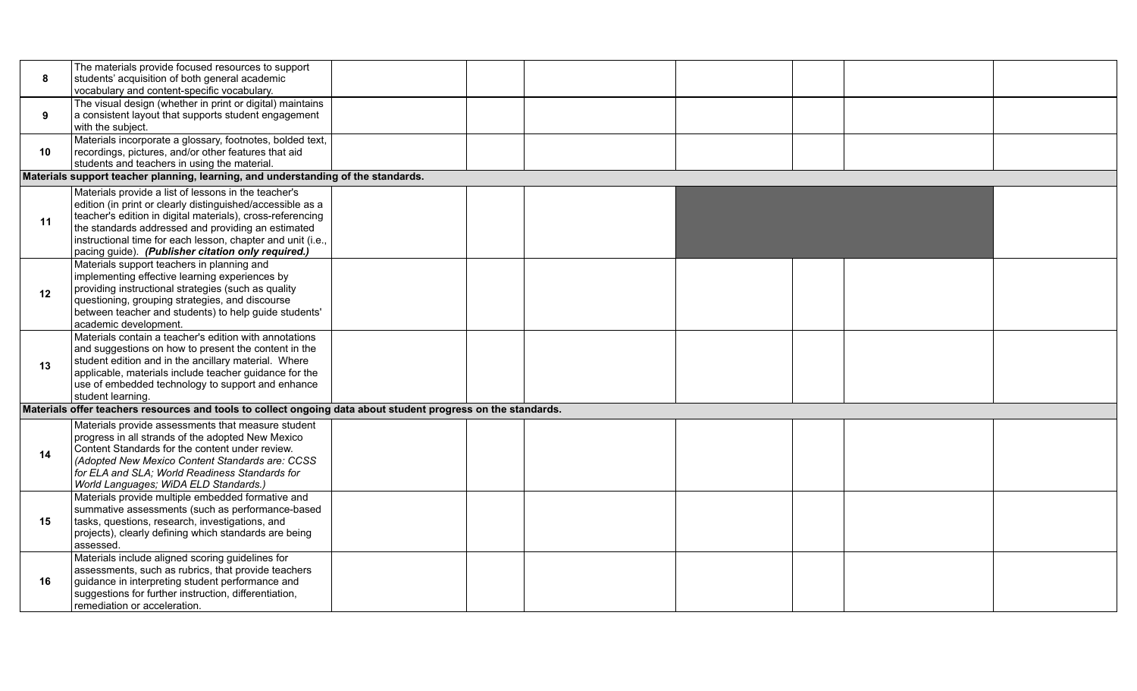| 8  | The materials provide focused resources to support<br>students' acquisition of both general academic<br>vocabulary and content-specific vocabulary.                                                                                                                                                                                                         |  |  |  |  |  |  |  |  |  |  |
|----|-------------------------------------------------------------------------------------------------------------------------------------------------------------------------------------------------------------------------------------------------------------------------------------------------------------------------------------------------------------|--|--|--|--|--|--|--|--|--|--|
| 9  | The visual design (whether in print or digital) maintains<br>a consistent layout that supports student engagement<br>with the subject.                                                                                                                                                                                                                      |  |  |  |  |  |  |  |  |  |  |
| 10 | Materials incorporate a glossary, footnotes, bolded text,<br>recordings, pictures, and/or other features that aid<br>students and teachers in using the material.                                                                                                                                                                                           |  |  |  |  |  |  |  |  |  |  |
|    | Materials support teacher planning, learning, and understanding of the standards.                                                                                                                                                                                                                                                                           |  |  |  |  |  |  |  |  |  |  |
| 11 | Materials provide a list of lessons in the teacher's<br>edition (in print or clearly distinguished/accessible as a<br>teacher's edition in digital materials), cross-referencing<br>the standards addressed and providing an estimated<br>instructional time for each lesson, chapter and unit (i.e.,<br>pacing guide). (Publisher citation only required.) |  |  |  |  |  |  |  |  |  |  |
| 12 | Materials support teachers in planning and<br>implementing effective learning experiences by<br>providing instructional strategies (such as quality<br>questioning, grouping strategies, and discourse<br>between teacher and students) to help guide students'<br>academic development.                                                                    |  |  |  |  |  |  |  |  |  |  |
| 13 | Materials contain a teacher's edition with annotations<br>and suggestions on how to present the content in the<br>student edition and in the ancillary material. Where<br>applicable, materials include teacher guidance for the<br>use of embedded technology to support and enhance<br>student learning.                                                  |  |  |  |  |  |  |  |  |  |  |
|    | Materials offer teachers resources and tools to collect ongoing data about student progress on the standards.                                                                                                                                                                                                                                               |  |  |  |  |  |  |  |  |  |  |
| 14 | Materials provide assessments that measure student<br>progress in all strands of the adopted New Mexico<br>Content Standards for the content under review.<br>(Adopted New Mexico Content Standards are: CCSS<br>for ELA and SLA; World Readiness Standards for<br>World Languages; WiDA ELD Standards.)                                                    |  |  |  |  |  |  |  |  |  |  |
| 15 | Materials provide multiple embedded formative and<br>summative assessments (such as performance-based<br>tasks, questions, research, investigations, and<br>projects), clearly defining which standards are being<br>assessed.                                                                                                                              |  |  |  |  |  |  |  |  |  |  |
| 16 | Materials include aligned scoring guidelines for<br>assessments, such as rubrics, that provide teachers<br>guidance in interpreting student performance and<br>suggestions for further instruction, differentiation,<br>remediation or acceleration.                                                                                                        |  |  |  |  |  |  |  |  |  |  |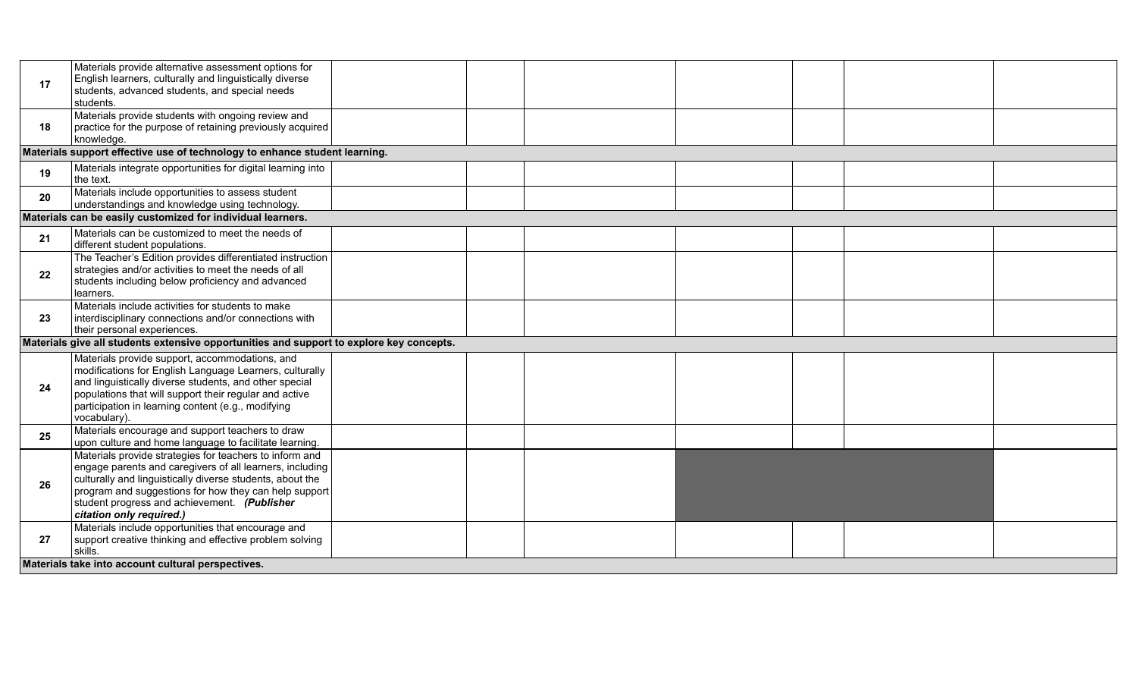| 17 | Materials provide alternative assessment options for<br>English learners, culturally and linguistically diverse<br>students, advanced students, and special needs<br>students.                                                                                                                                        |  |  |  |  |
|----|-----------------------------------------------------------------------------------------------------------------------------------------------------------------------------------------------------------------------------------------------------------------------------------------------------------------------|--|--|--|--|
| 18 | Materials provide students with ongoing review and<br>practice for the purpose of retaining previously acquired<br>knowledge.                                                                                                                                                                                         |  |  |  |  |
|    | Materials support effective use of technology to enhance student learning.                                                                                                                                                                                                                                            |  |  |  |  |
| 19 | Materials integrate opportunities for digital learning into<br>the text.                                                                                                                                                                                                                                              |  |  |  |  |
| 20 | Materials include opportunities to assess student<br>understandings and knowledge using technology.                                                                                                                                                                                                                   |  |  |  |  |
|    | Materials can be easily customized for individual learners.                                                                                                                                                                                                                                                           |  |  |  |  |
| 21 | Materials can be customized to meet the needs of<br>different student populations.                                                                                                                                                                                                                                    |  |  |  |  |
| 22 | The Teacher's Edition provides differentiated instruction<br>strategies and/or activities to meet the needs of all<br>students including below proficiency and advanced<br>learners.                                                                                                                                  |  |  |  |  |
| 23 | Materials include activities for students to make<br>interdisciplinary connections and/or connections with<br>their personal experiences.                                                                                                                                                                             |  |  |  |  |
|    | Materials give all students extensive opportunities and support to explore key concepts.                                                                                                                                                                                                                              |  |  |  |  |
| 24 | Materials provide support, accommodations, and<br>modifications for English Language Learners, culturally<br>and linguistically diverse students, and other special<br>populations that will support their regular and active<br>participation in learning content (e.g., modifying<br>vocabulary).                   |  |  |  |  |
| 25 | Materials encourage and support teachers to draw<br>upon culture and home language to facilitate learning.                                                                                                                                                                                                            |  |  |  |  |
| 26 | Materials provide strategies for teachers to inform and<br>engage parents and caregivers of all learners, including<br>culturally and linguistically diverse students, about the<br>program and suggestions for how they can help support<br>student progress and achievement. (Publisher<br>citation only required.) |  |  |  |  |
| 27 | Materials include opportunities that encourage and<br>support creative thinking and effective problem solving<br>skills.                                                                                                                                                                                              |  |  |  |  |
|    | Materials take into account cultural perspectives.                                                                                                                                                                                                                                                                    |  |  |  |  |
|    |                                                                                                                                                                                                                                                                                                                       |  |  |  |  |